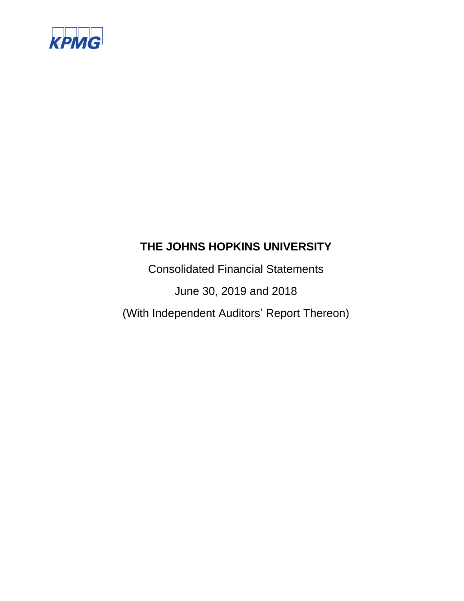

Consolidated Financial Statements June 30, 2019 and 2018 (With Independent Auditors' Report Thereon)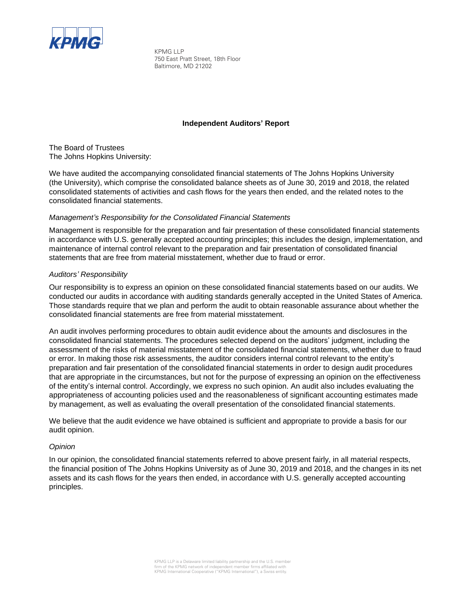

KPMG LLP 750 East Pratt Street, 18th Floor Baltimore, MD 21202

### **Independent Auditors' Report**

The Board of Trustees The Johns Hopkins University:

We have audited the accompanying consolidated financial statements of The Johns Hopkins University (the University), which comprise the consolidated balance sheets as of June 30, 2019 and 2018, the related consolidated statements of activities and cash flows for the years then ended, and the related notes to the consolidated financial statements.

### *Management's Responsibility for the Consolidated Financial Statements*

Management is responsible for the preparation and fair presentation of these consolidated financial statements in accordance with U.S. generally accepted accounting principles; this includes the design, implementation, and maintenance of internal control relevant to the preparation and fair presentation of consolidated financial statements that are free from material misstatement, whether due to fraud or error.

### *Auditors' Responsibility*

Our responsibility is to express an opinion on these consolidated financial statements based on our audits. We conducted our audits in accordance with auditing standards generally accepted in the United States of America. Those standards require that we plan and perform the audit to obtain reasonable assurance about whether the consolidated financial statements are free from material misstatement.

An audit involves performing procedures to obtain audit evidence about the amounts and disclosures in the consolidated financial statements. The procedures selected depend on the auditors' judgment, including the assessment of the risks of material misstatement of the consolidated financial statements, whether due to fraud or error. In making those risk assessments, the auditor considers internal control relevant to the entity's preparation and fair presentation of the consolidated financial statements in order to design audit procedures that are appropriate in the circumstances, but not for the purpose of expressing an opinion on the effectiveness of the entity's internal control. Accordingly, we express no such opinion. An audit also includes evaluating the appropriateness of accounting policies used and the reasonableness of significant accounting estimates made by management, as well as evaluating the overall presentation of the consolidated financial statements.

We believe that the audit evidence we have obtained is sufficient and appropriate to provide a basis for our audit opinion.

### *Opinion*

In our opinion, the consolidated financial statements referred to above present fairly, in all material respects, the financial position of The Johns Hopkins University as of June 30, 2019 and 2018, and the changes in its net assets and its cash flows for the years then ended, in accordance with U.S. generally accepted accounting principles.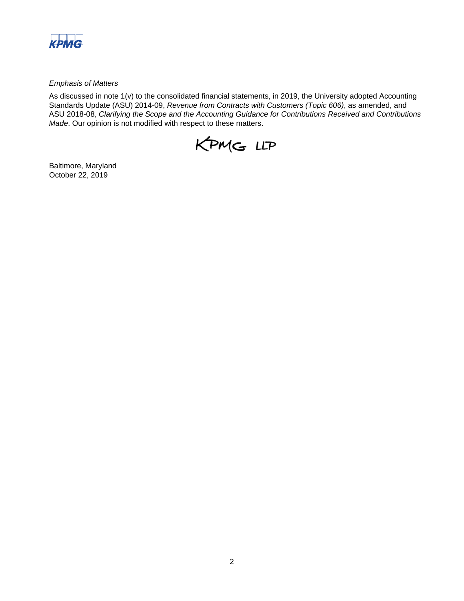

*Emphasis of Matters* 

As discussed in note 1(v) to the consolidated financial statements, in 2019, the University adopted Accounting Standards Update (ASU) 2014-09, *Revenue from Contracts with Customers (Topic 606)*, as amended, and ASU 2018-08, *Clarifying the Scope and the Accounting Guidance for Contributions Received and Contributions Made*. Our opinion is not modified with respect to these matters.



Baltimore, Maryland October 22, 2019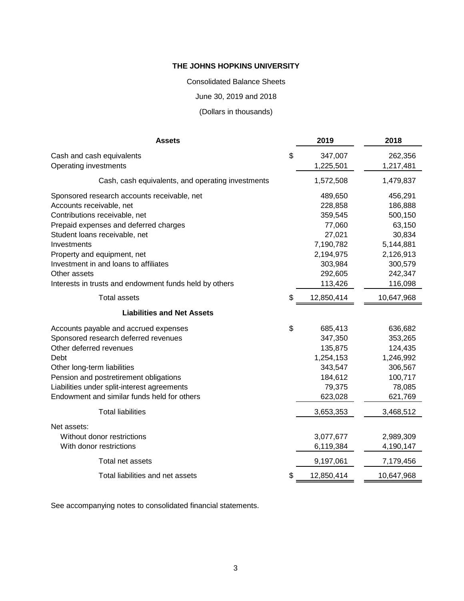Consolidated Balance Sheets

June 30, 2019 and 2018

(Dollars in thousands)

| <b>Assets</b>                                          | 2019             | 2018       |
|--------------------------------------------------------|------------------|------------|
| Cash and cash equivalents                              | \$<br>347,007    | 262,356    |
| Operating investments                                  | 1,225,501        | 1,217,481  |
| Cash, cash equivalents, and operating investments      | 1,572,508        | 1,479,837  |
| Sponsored research accounts receivable, net            | 489,650          | 456,291    |
| Accounts receivable, net                               | 228,858          | 186,888    |
| Contributions receivable, net                          | 359,545          | 500,150    |
| Prepaid expenses and deferred charges                  | 77,060           | 63,150     |
| Student loans receivable, net                          | 27,021           | 30,834     |
| Investments                                            | 7,190,782        | 5,144,881  |
| Property and equipment, net                            | 2,194,975        | 2,126,913  |
| Investment in and loans to affiliates                  | 303,984          | 300,579    |
| Other assets                                           | 292,605          | 242,347    |
| Interests in trusts and endowment funds held by others | 113,426          | 116,098    |
| <b>Total assets</b>                                    | \$<br>12,850,414 | 10,647,968 |
| <b>Liabilities and Net Assets</b>                      |                  |            |
| Accounts payable and accrued expenses                  | \$<br>685,413    | 636,682    |
| Sponsored research deferred revenues                   | 347,350          | 353,265    |
| Other deferred revenues                                | 135,875          | 124,435    |
| Debt                                                   | 1,254,153        | 1,246,992  |
| Other long-term liabilities                            | 343,547          | 306,567    |
| Pension and postretirement obligations                 | 184,612          | 100,717    |
| Liabilities under split-interest agreements            | 79,375           | 78,085     |
| Endowment and similar funds held for others            | 623,028          | 621,769    |
| <b>Total liabilities</b>                               | 3,653,353        | 3,468,512  |
| Net assets:                                            |                  |            |
| Without donor restrictions                             | 3,077,677        | 2,989,309  |
| With donor restrictions                                | 6,119,384        | 4,190,147  |
| Total net assets                                       | 9,197,061        | 7,179,456  |
| Total liabilities and net assets                       | \$<br>12,850,414 | 10,647,968 |

See accompanying notes to consolidated financial statements.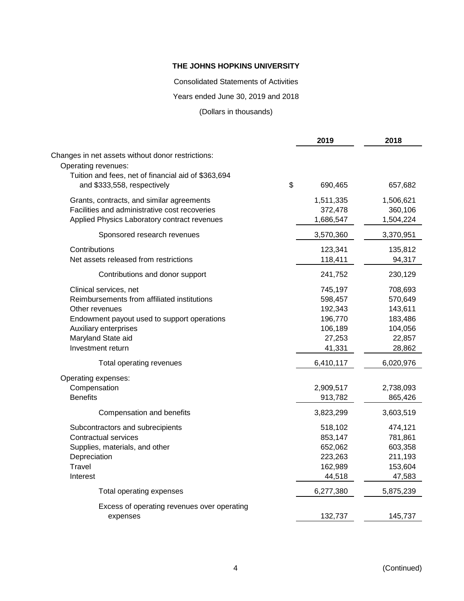Consolidated Statements of Activities

Years ended June 30, 2019 and 2018

(Dollars in thousands)

|                                                                          | 2019          | 2018      |
|--------------------------------------------------------------------------|---------------|-----------|
| Changes in net assets without donor restrictions:<br>Operating revenues: |               |           |
| Tuition and fees, net of financial aid of \$363,694                      |               |           |
| and \$333,558, respectively                                              | \$<br>690,465 | 657,682   |
| Grants, contracts, and similar agreements                                | 1,511,335     | 1,506,621 |
| Facilities and administrative cost recoveries                            | 372,478       | 360,106   |
| Applied Physics Laboratory contract revenues                             | 1,686,547     | 1,504,224 |
| Sponsored research revenues                                              | 3,570,360     | 3,370,951 |
| Contributions                                                            | 123,341       | 135,812   |
| Net assets released from restrictions                                    | 118,411       | 94,317    |
| Contributions and donor support                                          | 241,752       | 230,129   |
| Clinical services, net                                                   | 745,197       | 708,693   |
| Reimbursements from affiliated institutions                              | 598,457       | 570,649   |
| Other revenues                                                           | 192,343       | 143,611   |
| Endowment payout used to support operations                              | 196,770       | 183,486   |
| Auxiliary enterprises                                                    | 106,189       | 104,056   |
| Maryland State aid                                                       | 27,253        | 22,857    |
| Investment return                                                        | 41,331        | 28,862    |
| Total operating revenues                                                 | 6,410,117     | 6,020,976 |
| Operating expenses:                                                      |               |           |
| Compensation                                                             | 2,909,517     | 2,738,093 |
| <b>Benefits</b>                                                          | 913,782       | 865,426   |
| Compensation and benefits                                                | 3,823,299     | 3,603,519 |
| Subcontractors and subrecipients                                         | 518,102       | 474,121   |
| <b>Contractual services</b>                                              | 853,147       | 781,861   |
| Supplies, materials, and other                                           | 652,062       | 603,358   |
| Depreciation                                                             | 223,263       | 211,193   |
| Travel                                                                   | 162,989       | 153,604   |
| Interest                                                                 | 44,518        | 47,583    |
| Total operating expenses                                                 | 6,277,380     | 5,875,239 |
| Excess of operating revenues over operating                              |               |           |
| expenses                                                                 | 132,737       | 145,737   |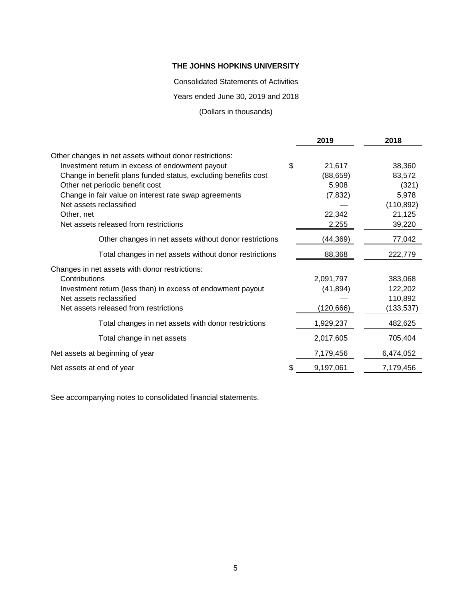Consolidated Statements of Activities

Years ended June 30, 2019 and 2018

## (Dollars in thousands)

|                                                                | 2019            | 2018       |
|----------------------------------------------------------------|-----------------|------------|
| Other changes in net assets without donor restrictions:        |                 |            |
| Investment return in excess of endowment payout                | \$<br>21,617    | 38,360     |
| Change in benefit plans funded status, excluding benefits cost | (88, 659)       | 83,572     |
| Other net periodic benefit cost                                | 5,908           | (321)      |
| Change in fair value on interest rate swap agreements          | (7, 832)        | 5,978      |
| Net assets reclassified                                        |                 | (110, 892) |
| Other, net                                                     | 22,342          | 21,125     |
| Net assets released from restrictions                          | 2,255           | 39,220     |
| Other changes in net assets without donor restrictions         | (44, 369)       | 77,042     |
| Total changes in net assets without donor restrictions         | 88,368          | 222,779    |
| Changes in net assets with donor restrictions:                 |                 |            |
| Contributions                                                  | 2,091,797       | 383,068    |
| Investment return (less than) in excess of endowment payout    | (41, 894)       | 122,202    |
| Net assets reclassified                                        |                 | 110,892    |
| Net assets released from restrictions                          | (120, 666)      | (133,537)  |
| Total changes in net assets with donor restrictions            | 1,929,237       | 482,625    |
| Total change in net assets                                     | 2,017,605       | 705,404    |
| Net assets at beginning of year                                | 7,179,456       | 6,474,052  |
| Net assets at end of year                                      | \$<br>9,197,061 | 7,179,456  |

See accompanying notes to consolidated financial statements.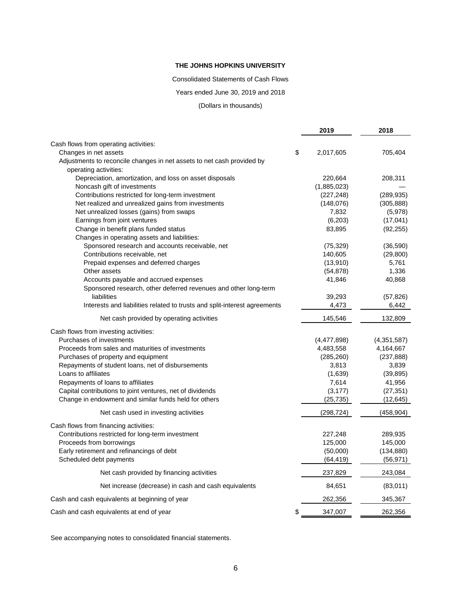Consolidated Statements of Cash Flows

Years ended June 30, 2019 and 2018

## (Dollars in thousands)

|                                                                           | 2019            | 2018        |
|---------------------------------------------------------------------------|-----------------|-------------|
| Cash flows from operating activities:                                     |                 |             |
| Changes in net assets                                                     | \$<br>2,017,605 | 705,404     |
| Adjustments to reconcile changes in net assets to net cash provided by    |                 |             |
| operating activities:                                                     |                 |             |
| Depreciation, amortization, and loss on asset disposals                   | 220,664         | 208,311     |
| Noncash gift of investments                                               | (1,885,023)     |             |
| Contributions restricted for long-term investment                         | (227, 248)      | (289, 935)  |
| Net realized and unrealized gains from investments                        | (148, 076)      | (305, 888)  |
| Net unrealized losses (gains) from swaps                                  | 7,832           | (5,978)     |
| Earnings from joint ventures                                              | (6,203)         | (17, 041)   |
| Change in benefit plans funded status                                     | 83,895          | (92, 255)   |
| Changes in operating assets and liabilities:                              |                 |             |
| Sponsored research and accounts receivable, net                           | (75, 329)       | (36, 590)   |
| Contributions receivable, net                                             | 140,605         | (29, 800)   |
| Prepaid expenses and deferred charges                                     | (13,910)        | 5,761       |
| Other assets                                                              | (54, 878)       | 1,336       |
| Accounts payable and accrued expenses                                     | 41,846          | 40,868      |
| Sponsored research, other deferred revenues and other long-term           |                 |             |
| liabilities                                                               | 39,293          | (57, 826)   |
| Interests and liabilities related to trusts and split-interest agreements | 4,473           | 6,442       |
| Net cash provided by operating activities                                 | 145,546         | 132,809     |
| Cash flows from investing activities:                                     |                 |             |
| Purchases of investments                                                  | (4, 477, 898)   | (4,351,587) |
| Proceeds from sales and maturities of investments                         | 4,483,558       | 4,164,667   |
| Purchases of property and equipment                                       | (285, 260)      | (237, 888)  |
| Repayments of student loans, net of disbursements                         | 3,813           | 3,839       |
| Loans to affiliates                                                       | (1,639)         | (39, 895)   |
| Repayments of loans to affiliates                                         | 7,614           | 41,956      |
| Capital contributions to joint ventures, net of dividends                 | (3, 177)        | (27, 351)   |
| Change in endowment and similar funds held for others                     | (25, 735)       | (12, 645)   |
| Net cash used in investing activities                                     | (298, 724)      | (458, 904)  |
| Cash flows from financing activities:                                     |                 |             |
| Contributions restricted for long-term investment                         | 227,248         | 289,935     |
| Proceeds from borrowings                                                  | 125,000         | 145,000     |
| Early retirement and refinancings of debt                                 | (50,000)        | (134, 880)  |
| Scheduled debt payments                                                   | (64, 419)       | (56, 971)   |
| Net cash provided by financing activities                                 | 237,829         | 243,084     |
| Net increase (decrease) in cash and cash equivalents                      | 84,651          | (83,011)    |
|                                                                           |                 |             |
| Cash and cash equivalents at beginning of year                            | 262,356         | 345,367     |
| Cash and cash equivalents at end of year                                  | \$<br>347,007   | 262,356     |

See accompanying notes to consolidated financial statements.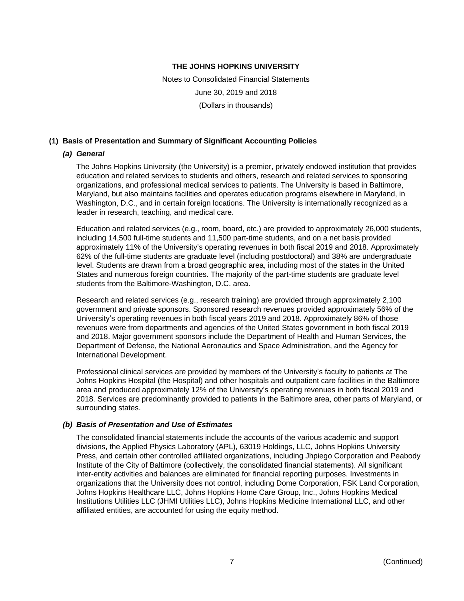Notes to Consolidated Financial Statements June 30, 2019 and 2018 (Dollars in thousands)

### **(1) Basis of Presentation and Summary of Significant Accounting Policies**

### *(a) General*

The Johns Hopkins University (the University) is a premier, privately endowed institution that provides education and related services to students and others, research and related services to sponsoring organizations, and professional medical services to patients. The University is based in Baltimore, Maryland, but also maintains facilities and operates education programs elsewhere in Maryland, in Washington, D.C., and in certain foreign locations. The University is internationally recognized as a leader in research, teaching, and medical care.

Education and related services (e.g., room, board, etc.) are provided to approximately 26,000 students, including 14,500 full-time students and 11,500 part-time students, and on a net basis provided approximately 11% of the University's operating revenues in both fiscal 2019 and 2018. Approximately 62% of the full-time students are graduate level (including postdoctoral) and 38% are undergraduate level. Students are drawn from a broad geographic area, including most of the states in the United States and numerous foreign countries. The majority of the part-time students are graduate level students from the Baltimore-Washington, D.C. area.

Research and related services (e.g., research training) are provided through approximately 2,100 government and private sponsors. Sponsored research revenues provided approximately 56% of the University's operating revenues in both fiscal years 2019 and 2018. Approximately 86% of those revenues were from departments and agencies of the United States government in both fiscal 2019 and 2018. Major government sponsors include the Department of Health and Human Services, the Department of Defense, the National Aeronautics and Space Administration, and the Agency for International Development.

Professional clinical services are provided by members of the University's faculty to patients at The Johns Hopkins Hospital (the Hospital) and other hospitals and outpatient care facilities in the Baltimore area and produced approximately 12% of the University's operating revenues in both fiscal 2019 and 2018. Services are predominantly provided to patients in the Baltimore area, other parts of Maryland, or surrounding states.

### *(b) Basis of Presentation and Use of Estimates*

The consolidated financial statements include the accounts of the various academic and support divisions, the Applied Physics Laboratory (APL), 63019 Holdings, LLC, Johns Hopkins University Press, and certain other controlled affiliated organizations, including Jhpiego Corporation and Peabody Institute of the City of Baltimore (collectively, the consolidated financial statements). All significant inter-entity activities and balances are eliminated for financial reporting purposes. Investments in organizations that the University does not control, including Dome Corporation, FSK Land Corporation, Johns Hopkins Healthcare LLC, Johns Hopkins Home Care Group, Inc., Johns Hopkins Medical Institutions Utilities LLC (JHMI Utilities LLC), Johns Hopkins Medicine International LLC, and other affiliated entities, are accounted for using the equity method.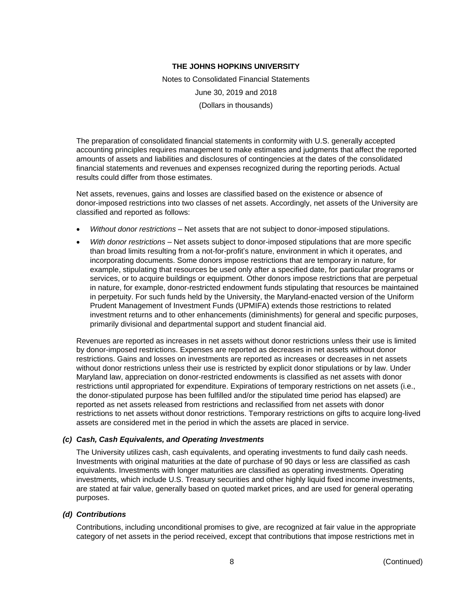Notes to Consolidated Financial Statements June 30, 2019 and 2018 (Dollars in thousands)

The preparation of consolidated financial statements in conformity with U.S. generally accepted accounting principles requires management to make estimates and judgments that affect the reported amounts of assets and liabilities and disclosures of contingencies at the dates of the consolidated financial statements and revenues and expenses recognized during the reporting periods. Actual results could differ from those estimates.

Net assets, revenues, gains and losses are classified based on the existence or absence of donor-imposed restrictions into two classes of net assets. Accordingly, net assets of the University are classified and reported as follows:

- *Without donor restrictions –* Net assets that are not subject to donor-imposed stipulations.
- *With donor restrictions* Net assets subject to donor-imposed stipulations that are more specific than broad limits resulting from a not-for-profit's nature, environment in which it operates, and incorporating documents. Some donors impose restrictions that are temporary in nature, for example, stipulating that resources be used only after a specified date, for particular programs or services, or to acquire buildings or equipment. Other donors impose restrictions that are perpetual in nature, for example, donor-restricted endowment funds stipulating that resources be maintained in perpetuity. For such funds held by the University, the Maryland-enacted version of the Uniform Prudent Management of Investment Funds (UPMIFA) extends those restrictions to related investment returns and to other enhancements (diminishments) for general and specific purposes, primarily divisional and departmental support and student financial aid.

Revenues are reported as increases in net assets without donor restrictions unless their use is limited by donor-imposed restrictions. Expenses are reported as decreases in net assets without donor restrictions. Gains and losses on investments are reported as increases or decreases in net assets without donor restrictions unless their use is restricted by explicit donor stipulations or by law. Under Maryland law, appreciation on donor-restricted endowments is classified as net assets with donor restrictions until appropriated for expenditure. Expirations of temporary restrictions on net assets (i.e., the donor-stipulated purpose has been fulfilled and/or the stipulated time period has elapsed) are reported as net assets released from restrictions and reclassified from net assets with donor restrictions to net assets without donor restrictions. Temporary restrictions on gifts to acquire long-lived assets are considered met in the period in which the assets are placed in service.

## *(c) Cash, Cash Equivalents, and Operating Investments*

The University utilizes cash, cash equivalents, and operating investments to fund daily cash needs. Investments with original maturities at the date of purchase of 90 days or less are classified as cash equivalents. Investments with longer maturities are classified as operating investments. Operating investments, which include U.S. Treasury securities and other highly liquid fixed income investments, are stated at fair value, generally based on quoted market prices, and are used for general operating purposes.

### *(d) Contributions*

Contributions, including unconditional promises to give, are recognized at fair value in the appropriate category of net assets in the period received, except that contributions that impose restrictions met in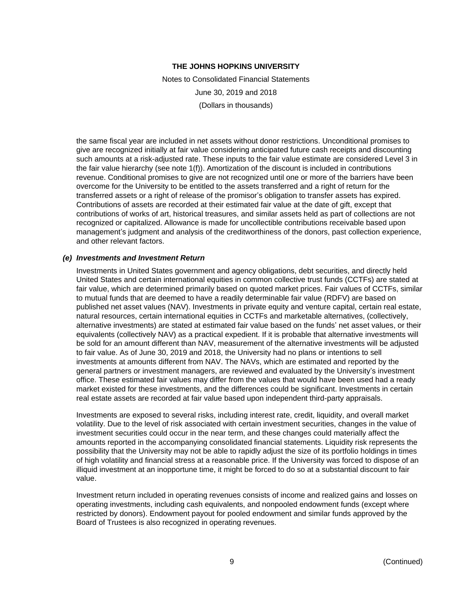Notes to Consolidated Financial Statements June 30, 2019 and 2018 (Dollars in thousands)

the same fiscal year are included in net assets without donor restrictions. Unconditional promises to give are recognized initially at fair value considering anticipated future cash receipts and discounting such amounts at a risk-adjusted rate. These inputs to the fair value estimate are considered Level 3 in the fair value hierarchy (see note 1(f)). Amortization of the discount is included in contributions revenue. Conditional promises to give are not recognized until one or more of the barriers have been overcome for the University to be entitled to the assets transferred and a right of return for the transferred assets or a right of release of the promisor's obligation to transfer assets has expired. Contributions of assets are recorded at their estimated fair value at the date of gift, except that contributions of works of art, historical treasures, and similar assets held as part of collections are not recognized or capitalized. Allowance is made for uncollectible contributions receivable based upon management's judgment and analysis of the creditworthiness of the donors, past collection experience, and other relevant factors.

#### *(e) Investments and Investment Return*

Investments in United States government and agency obligations, debt securities, and directly held United States and certain international equities in common collective trust funds (CCTFs) are stated at fair value, which are determined primarily based on quoted market prices. Fair values of CCTFs, similar to mutual funds that are deemed to have a readily determinable fair value (RDFV) are based on published net asset values (NAV). Investments in private equity and venture capital, certain real estate, natural resources, certain international equities in CCTFs and marketable alternatives, (collectively, alternative investments) are stated at estimated fair value based on the funds' net asset values, or their equivalents (collectively NAV) as a practical expedient. If it is probable that alternative investments will be sold for an amount different than NAV, measurement of the alternative investments will be adjusted to fair value. As of June 30, 2019 and 2018, the University had no plans or intentions to sell investments at amounts different from NAV. The NAVs, which are estimated and reported by the general partners or investment managers, are reviewed and evaluated by the University's investment office. These estimated fair values may differ from the values that would have been used had a ready market existed for these investments, and the differences could be significant. Investments in certain real estate assets are recorded at fair value based upon independent third-party appraisals.

Investments are exposed to several risks, including interest rate, credit, liquidity, and overall market volatility. Due to the level of risk associated with certain investment securities, changes in the value of investment securities could occur in the near term, and these changes could materially affect the amounts reported in the accompanying consolidated financial statements. Liquidity risk represents the possibility that the University may not be able to rapidly adjust the size of its portfolio holdings in times of high volatility and financial stress at a reasonable price. If the University was forced to dispose of an illiquid investment at an inopportune time, it might be forced to do so at a substantial discount to fair value.

Investment return included in operating revenues consists of income and realized gains and losses on operating investments, including cash equivalents, and nonpooled endowment funds (except where restricted by donors). Endowment payout for pooled endowment and similar funds approved by the Board of Trustees is also recognized in operating revenues.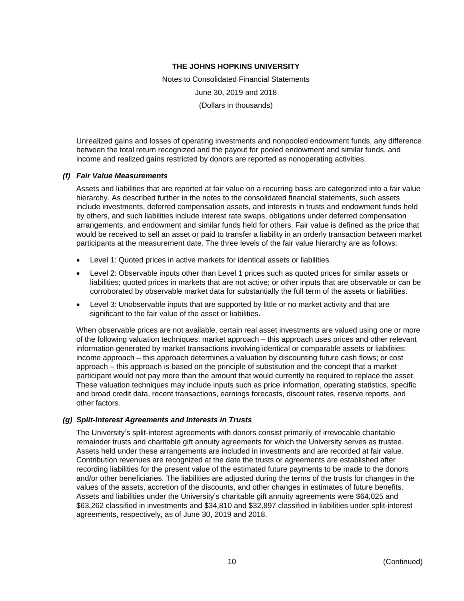Notes to Consolidated Financial Statements June 30, 2019 and 2018 (Dollars in thousands)

Unrealized gains and losses of operating investments and nonpooled endowment funds, any difference between the total return recognized and the payout for pooled endowment and similar funds, and income and realized gains restricted by donors are reported as nonoperating activities.

### *(f) Fair Value Measurements*

Assets and liabilities that are reported at fair value on a recurring basis are categorized into a fair value hierarchy. As described further in the notes to the consolidated financial statements, such assets include investments, deferred compensation assets, and interests in trusts and endowment funds held by others, and such liabilities include interest rate swaps, obligations under deferred compensation arrangements, and endowment and similar funds held for others. Fair value is defined as the price that would be received to sell an asset or paid to transfer a liability in an orderly transaction between market participants at the measurement date. The three levels of the fair value hierarchy are as follows:

- Level 1: Quoted prices in active markets for identical assets or liabilities.
- Level 2: Observable inputs other than Level 1 prices such as quoted prices for similar assets or liabilities; quoted prices in markets that are not active; or other inputs that are observable or can be corroborated by observable market data for substantially the full term of the assets or liabilities.
- Level 3: Unobservable inputs that are supported by little or no market activity and that are significant to the fair value of the asset or liabilities.

When observable prices are not available, certain real asset investments are valued using one or more of the following valuation techniques: market approach – this approach uses prices and other relevant information generated by market transactions involving identical or comparable assets or liabilities; income approach – this approach determines a valuation by discounting future cash flows; or cost approach – this approach is based on the principle of substitution and the concept that a market participant would not pay more than the amount that would currently be required to replace the asset. These valuation techniques may include inputs such as price information, operating statistics, specific and broad credit data, recent transactions, earnings forecasts, discount rates, reserve reports, and other factors.

### *(g) Split-Interest Agreements and Interests in Trusts*

The University's split-interest agreements with donors consist primarily of irrevocable charitable remainder trusts and charitable gift annuity agreements for which the University serves as trustee. Assets held under these arrangements are included in investments and are recorded at fair value. Contribution revenues are recognized at the date the trusts or agreements are established after recording liabilities for the present value of the estimated future payments to be made to the donors and/or other beneficiaries. The liabilities are adjusted during the terms of the trusts for changes in the values of the assets, accretion of the discounts, and other changes in estimates of future benefits. Assets and liabilities under the University's charitable gift annuity agreements were \$64,025 and \$63,262 classified in investments and \$34,810 and \$32,897 classified in liabilities under split-interest agreements, respectively, as of June 30, 2019 and 2018.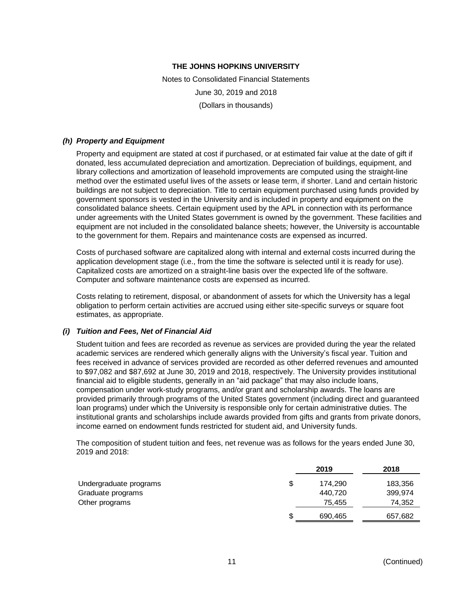Notes to Consolidated Financial Statements June 30, 2019 and 2018 (Dollars in thousands)

### *(h) Property and Equipment*

Property and equipment are stated at cost if purchased, or at estimated fair value at the date of gift if donated, less accumulated depreciation and amortization. Depreciation of buildings, equipment, and library collections and amortization of leasehold improvements are computed using the straight-line method over the estimated useful lives of the assets or lease term, if shorter. Land and certain historic buildings are not subject to depreciation. Title to certain equipment purchased using funds provided by government sponsors is vested in the University and is included in property and equipment on the consolidated balance sheets. Certain equipment used by the APL in connection with its performance under agreements with the United States government is owned by the government. These facilities and equipment are not included in the consolidated balance sheets; however, the University is accountable to the government for them. Repairs and maintenance costs are expensed as incurred.

Costs of purchased software are capitalized along with internal and external costs incurred during the application development stage (i.e., from the time the software is selected until it is ready for use). Capitalized costs are amortized on a straight-line basis over the expected life of the software. Computer and software maintenance costs are expensed as incurred.

Costs relating to retirement, disposal, or abandonment of assets for which the University has a legal obligation to perform certain activities are accrued using either site-specific surveys or square foot estimates, as appropriate.

### *(i) Tuition and Fees, Net of Financial Aid*

Student tuition and fees are recorded as revenue as services are provided during the year the related academic services are rendered which generally aligns with the University's fiscal year. Tuition and fees received in advance of services provided are recorded as other deferred revenues and amounted to \$97,082 and \$87,692 at June 30, 2019 and 2018, respectively. The University provides institutional financial aid to eligible students, generally in an "aid package" that may also include loans, compensation under work-study programs, and/or grant and scholarship awards. The loans are provided primarily through programs of the United States government (including direct and guaranteed loan programs) under which the University is responsible only for certain administrative duties. The institutional grants and scholarships include awards provided from gifts and grants from private donors, income earned on endowment funds restricted for student aid, and University funds.

The composition of student tuition and fees, net revenue was as follows for the years ended June 30, 2019 and 2018:

|                        | 2019          | 2018    |
|------------------------|---------------|---------|
| Undergraduate programs | \$<br>174.290 | 183,356 |
| Graduate programs      | 440.720       | 399,974 |
| Other programs         | 75.455        | 74,352  |
|                        | \$<br>690,465 | 657,682 |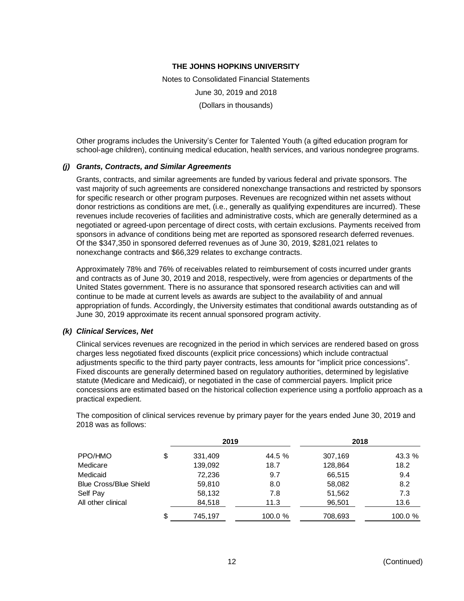Notes to Consolidated Financial Statements June 30, 2019 and 2018 (Dollars in thousands)

Other programs includes the University's Center for Talented Youth (a gifted education program for school-age children), continuing medical education, health services, and various nondegree programs.

### *(j) Grants, Contracts, and Similar Agreements*

Grants, contracts, and similar agreements are funded by various federal and private sponsors. The vast majority of such agreements are considered nonexchange transactions and restricted by sponsors for specific research or other program purposes. Revenues are recognized within net assets without donor restrictions as conditions are met, (i.e., generally as qualifying expenditures are incurred). These revenues include recoveries of facilities and administrative costs, which are generally determined as a negotiated or agreed-upon percentage of direct costs, with certain exclusions. Payments received from sponsors in advance of conditions being met are reported as sponsored research deferred revenues. Of the \$347,350 in sponsored deferred revenues as of June 30, 2019, \$281,021 relates to nonexchange contracts and \$66,329 relates to exchange contracts.

Approximately 78% and 76% of receivables related to reimbursement of costs incurred under grants and contracts as of June 30, 2019 and 2018, respectively, were from agencies or departments of the United States government. There is no assurance that sponsored research activities can and will continue to be made at current levels as awards are subject to the availability of and annual appropriation of funds. Accordingly, the University estimates that conditional awards outstanding as of June 30, 2019 approximate its recent annual sponsored program activity.

### *(k) Clinical Services, Net*

Clinical services revenues are recognized in the period in which services are rendered based on gross charges less negotiated fixed discounts (explicit price concessions) which include contractual adjustments specific to the third party payer contracts, less amounts for "implicit price concessions". Fixed discounts are generally determined based on regulatory authorities, determined by legislative statute (Medicare and Medicaid), or negotiated in the case of commercial payers. Implicit price concessions are estimated based on the historical collection experience using a portfolio approach as a practical expedient.

|                               | 2019          |         | 2018    |        |  |
|-------------------------------|---------------|---------|---------|--------|--|
| PPO/HMO                       | \$<br>331,409 | 44.5 %  | 307,169 | 43.3 % |  |
| Medicare                      | 139,092       | 18.7    | 128,864 | 18.2   |  |
| Medicaid                      | 72,236        | 9.7     | 66,515  | 9.4    |  |
| <b>Blue Cross/Blue Shield</b> | 59,810        | 8.0     | 58,082  | 8.2    |  |
| Self Pay                      | 58,132        | 7.8     | 51,562  | 7.3    |  |
| All other clinical            | 84,518        | 11.3    | 96,501  | 13.6   |  |
|                               | \$<br>745.197 | 100.0 % | 708,693 | 100.0% |  |

The composition of clinical services revenue by primary payer for the years ended June 30, 2019 and 2018 was as follows: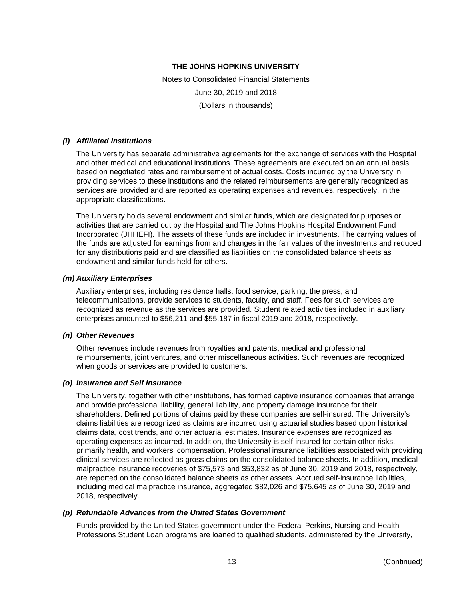Notes to Consolidated Financial Statements June 30, 2019 and 2018 (Dollars in thousands)

## *(l) Affiliated Institutions*

The University has separate administrative agreements for the exchange of services with the Hospital and other medical and educational institutions. These agreements are executed on an annual basis based on negotiated rates and reimbursement of actual costs. Costs incurred by the University in providing services to these institutions and the related reimbursements are generally recognized as services are provided and are reported as operating expenses and revenues, respectively, in the appropriate classifications.

The University holds several endowment and similar funds, which are designated for purposes or activities that are carried out by the Hospital and The Johns Hopkins Hospital Endowment Fund Incorporated (JHHEFI). The assets of these funds are included in investments. The carrying values of the funds are adjusted for earnings from and changes in the fair values of the investments and reduced for any distributions paid and are classified as liabilities on the consolidated balance sheets as endowment and similar funds held for others.

### *(m) Auxiliary Enterprises*

Auxiliary enterprises, including residence halls, food service, parking, the press, and telecommunications, provide services to students, faculty, and staff. Fees for such services are recognized as revenue as the services are provided. Student related activities included in auxiliary enterprises amounted to \$56,211 and \$55,187 in fiscal 2019 and 2018, respectively.

### *(n) Other Revenues*

Other revenues include revenues from royalties and patents, medical and professional reimbursements, joint ventures, and other miscellaneous activities. Such revenues are recognized when goods or services are provided to customers.

### *(o) Insurance and Self Insurance*

The University, together with other institutions, has formed captive insurance companies that arrange and provide professional liability, general liability, and property damage insurance for their shareholders. Defined portions of claims paid by these companies are self-insured. The University's claims liabilities are recognized as claims are incurred using actuarial studies based upon historical claims data, cost trends, and other actuarial estimates. Insurance expenses are recognized as operating expenses as incurred. In addition, the University is self-insured for certain other risks, primarily health, and workers' compensation. Professional insurance liabilities associated with providing clinical services are reflected as gross claims on the consolidated balance sheets. In addition, medical malpractice insurance recoveries of \$75,573 and \$53,832 as of June 30, 2019 and 2018, respectively, are reported on the consolidated balance sheets as other assets. Accrued self-insurance liabilities, including medical malpractice insurance, aggregated \$82,026 and \$75,645 as of June 30, 2019 and 2018, respectively.

### *(p) Refundable Advances from the United States Government*

Funds provided by the United States government under the Federal Perkins, Nursing and Health Professions Student Loan programs are loaned to qualified students, administered by the University,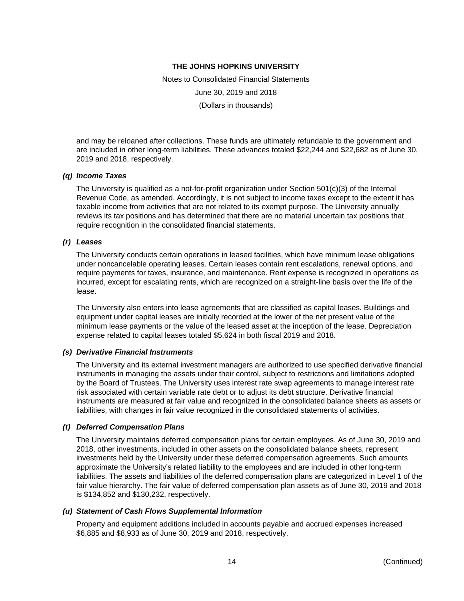Notes to Consolidated Financial Statements June 30, 2019 and 2018 (Dollars in thousands)

and may be reloaned after collections. These funds are ultimately refundable to the government and are included in other long-term liabilities. These advances totaled \$22,244 and \$22,682 as of June 30, 2019 and 2018, respectively.

### *(q) Income Taxes*

The University is qualified as a not-for-profit organization under Section 501(c)(3) of the Internal Revenue Code, as amended. Accordingly, it is not subject to income taxes except to the extent it has taxable income from activities that are not related to its exempt purpose. The University annually reviews its tax positions and has determined that there are no material uncertain tax positions that require recognition in the consolidated financial statements.

### *(r) Leases*

The University conducts certain operations in leased facilities, which have minimum lease obligations under noncancelable operating leases. Certain leases contain rent escalations, renewal options, and require payments for taxes, insurance, and maintenance. Rent expense is recognized in operations as incurred, except for escalating rents, which are recognized on a straight-line basis over the life of the lease.

The University also enters into lease agreements that are classified as capital leases. Buildings and equipment under capital leases are initially recorded at the lower of the net present value of the minimum lease payments or the value of the leased asset at the inception of the lease. Depreciation expense related to capital leases totaled \$5,624 in both fiscal 2019 and 2018.

### *(s) Derivative Financial Instruments*

The University and its external investment managers are authorized to use specified derivative financial instruments in managing the assets under their control, subject to restrictions and limitations adopted by the Board of Trustees. The University uses interest rate swap agreements to manage interest rate risk associated with certain variable rate debt or to adjust its debt structure. Derivative financial instruments are measured at fair value and recognized in the consolidated balance sheets as assets or liabilities, with changes in fair value recognized in the consolidated statements of activities.

### *(t) Deferred Compensation Plans*

The University maintains deferred compensation plans for certain employees. As of June 30, 2019 and 2018, other investments, included in other assets on the consolidated balance sheets, represent investments held by the University under these deferred compensation agreements. Such amounts approximate the University's related liability to the employees and are included in other long-term liabilities. The assets and liabilities of the deferred compensation plans are categorized in Level 1 of the fair value hierarchy. The fair value of deferred compensation plan assets as of June 30, 2019 and 2018 is \$134,852 and \$130,232, respectively.

### *(u) Statement of Cash Flows Supplemental Information*

Property and equipment additions included in accounts payable and accrued expenses increased \$6,885 and \$8,933 as of June 30, 2019 and 2018, respectively.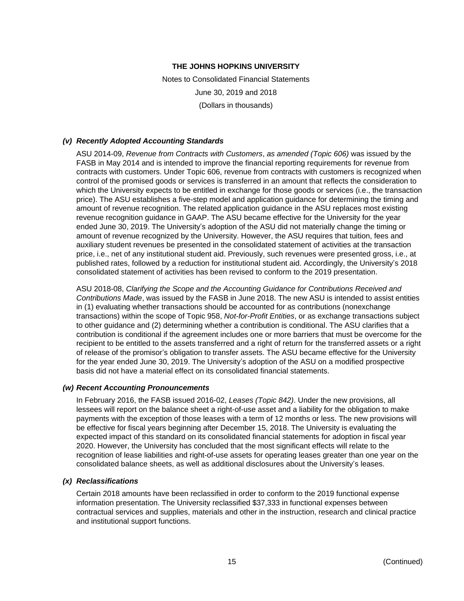Notes to Consolidated Financial Statements June 30, 2019 and 2018 (Dollars in thousands)

## *(v) Recently Adopted Accounting Standards*

ASU 2014-09, *Revenue from Contracts with Customers*, *as amended (Topic 606)* was issued by the FASB in May 2014 and is intended to improve the financial reporting requirements for revenue from contracts with customers. Under Topic 606, revenue from contracts with customers is recognized when control of the promised goods or services is transferred in an amount that reflects the consideration to which the University expects to be entitled in exchange for those goods or services (i.e., the transaction price). The ASU establishes a five-step model and application guidance for determining the timing and amount of revenue recognition. The related application guidance in the ASU replaces most existing revenue recognition guidance in GAAP. The ASU became effective for the University for the year ended June 30, 2019. The University's adoption of the ASU did not materially change the timing or amount of revenue recognized by the University. However, the ASU requires that tuition, fees and auxiliary student revenues be presented in the consolidated statement of activities at the transaction price, i.e., net of any institutional student aid. Previously, such revenues were presented gross, i.e., at published rates, followed by a reduction for institutional student aid. Accordingly, the University's 2018 consolidated statement of activities has been revised to conform to the 2019 presentation.

ASU 2018-08, *Clarifying the Scope and the Accounting Guidance for Contributions Received and Contributions Made*, was issued by the FASB in June 2018. The new ASU is intended to assist entities in (1) evaluating whether transactions should be accounted for as contributions (nonexchange transactions) within the scope of Topic 958, *Not-for-Profit Entities*, or as exchange transactions subject to other guidance and (2) determining whether a contribution is conditional. The ASU clarifies that a contribution is conditional if the agreement includes one or more barriers that must be overcome for the recipient to be entitled to the assets transferred and a right of return for the transferred assets or a right of release of the promisor's obligation to transfer assets. The ASU became effective for the University for the year ended June 30, 2019. The University's adoption of the ASU on a modified prospective basis did not have a material effect on its consolidated financial statements.

## *(w) Recent Accounting Pronouncements*

In February 2016, the FASB issued 2016-02, *Leases (Topic 842)*. Under the new provisions, all lessees will report on the balance sheet a right-of-use asset and a liability for the obligation to make payments with the exception of those leases with a term of 12 months or less. The new provisions will be effective for fiscal years beginning after December 15, 2018. The University is evaluating the expected impact of this standard on its consolidated financial statements for adoption in fiscal year 2020. However, the University has concluded that the most significant effects will relate to the recognition of lease liabilities and right-of-use assets for operating leases greater than one year on the consolidated balance sheets, as well as additional disclosures about the University's leases.

## *(x) Reclassifications*

Certain 2018 amounts have been reclassified in order to conform to the 2019 functional expense information presentation. The University reclassified \$37,333 in functional expenses between contractual services and supplies, materials and other in the instruction, research and clinical practice and institutional support functions.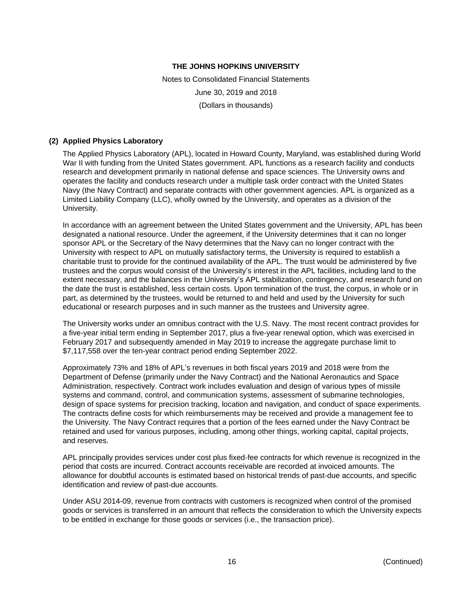Notes to Consolidated Financial Statements June 30, 2019 and 2018 (Dollars in thousands)

## **(2) Applied Physics Laboratory**

The Applied Physics Laboratory (APL), located in Howard County, Maryland, was established during World War II with funding from the United States government. APL functions as a research facility and conducts research and development primarily in national defense and space sciences. The University owns and operates the facility and conducts research under a multiple task order contract with the United States Navy (the Navy Contract) and separate contracts with other government agencies. APL is organized as a Limited Liability Company (LLC), wholly owned by the University, and operates as a division of the University.

In accordance with an agreement between the United States government and the University, APL has been designated a national resource. Under the agreement, if the University determines that it can no longer sponsor APL or the Secretary of the Navy determines that the Navy can no longer contract with the University with respect to APL on mutually satisfactory terms, the University is required to establish a charitable trust to provide for the continued availability of the APL. The trust would be administered by five trustees and the corpus would consist of the University's interest in the APL facilities, including land to the extent necessary, and the balances in the University's APL stabilization, contingency, and research fund on the date the trust is established, less certain costs. Upon termination of the trust, the corpus, in whole or in part, as determined by the trustees, would be returned to and held and used by the University for such educational or research purposes and in such manner as the trustees and University agree.

The University works under an omnibus contract with the U.S. Navy. The most recent contract provides for a five-year initial term ending in September 2017, plus a five-year renewal option, which was exercised in February 2017 and subsequently amended in May 2019 to increase the aggregate purchase limit to \$7,117,558 over the ten-year contract period ending September 2022.

Approximately 73% and 18% of APL's revenues in both fiscal years 2019 and 2018 were from the Department of Defense (primarily under the Navy Contract) and the National Aeronautics and Space Administration, respectively. Contract work includes evaluation and design of various types of missile systems and command, control, and communication systems, assessment of submarine technologies, design of space systems for precision tracking, location and navigation, and conduct of space experiments. The contracts define costs for which reimbursements may be received and provide a management fee to the University. The Navy Contract requires that a portion of the fees earned under the Navy Contract be retained and used for various purposes, including, among other things, working capital, capital projects, and reserves.

APL principally provides services under cost plus fixed-fee contracts for which revenue is recognized in the period that costs are incurred. Contract accounts receivable are recorded at invoiced amounts. The allowance for doubtful accounts is estimated based on historical trends of past-due accounts, and specific identification and review of past-due accounts.

Under ASU 2014-09, revenue from contracts with customers is recognized when control of the promised goods or services is transferred in an amount that reflects the consideration to which the University expects to be entitled in exchange for those goods or services (i.e., the transaction price).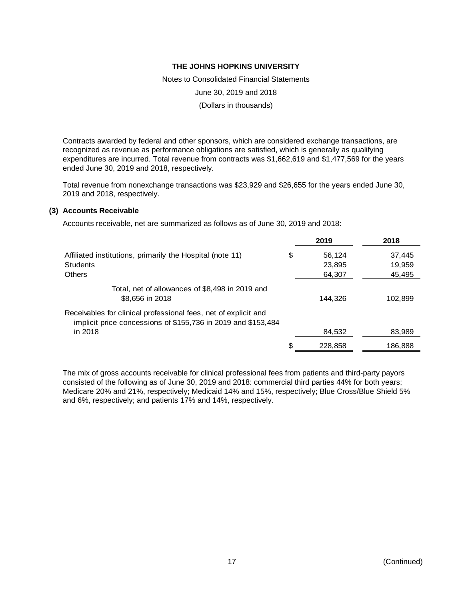Notes to Consolidated Financial Statements June 30, 2019 and 2018

(Dollars in thousands)

Contracts awarded by federal and other sponsors, which are considered exchange transactions, are recognized as revenue as performance obligations are satisfied, which is generally as qualifying expenditures are incurred. Total revenue from contracts was \$1,662,619 and \$1,477,569 for the years ended June 30, 2019 and 2018, respectively.

Total revenue from nonexchange transactions was \$23,929 and \$26,655 for the years ended June 30, 2019 and 2018, respectively.

### **(3) Accounts Receivable**

Accounts receivable, net are summarized as follows as of June 30, 2019 and 2018:

|                                                                                                                                  |    | ---     | ---     |
|----------------------------------------------------------------------------------------------------------------------------------|----|---------|---------|
| Affiliated institutions, primarily the Hospital (note 11)                                                                        | \$ | 56,124  | 37,445  |
| <b>Students</b>                                                                                                                  |    | 23,895  | 19,959  |
| <b>Others</b>                                                                                                                    |    | 64,307  | 45,495  |
| Total, net of allowances of \$8,498 in 2019 and<br>\$8,656 in 2018                                                               |    | 144.326 | 102,899 |
| Receivables for clinical professional fees, net of explicit and<br>implicit price concessions of \$155,736 in 2019 and \$153,484 |    |         |         |
| in 2018                                                                                                                          |    | 84,532  | 83,989  |
|                                                                                                                                  | S. | 228,858 | 186,888 |

The mix of gross accounts receivable for clinical professional fees from patients and third-party payors consisted of the following as of June 30, 2019 and 2018: commercial third parties 44% for both years; Medicare 20% and 21%, respectively; Medicaid 14% and 15%, respectively; Blue Cross/Blue Shield 5% and 6%, respectively; and patients 17% and 14%, respectively.

**2019 2018**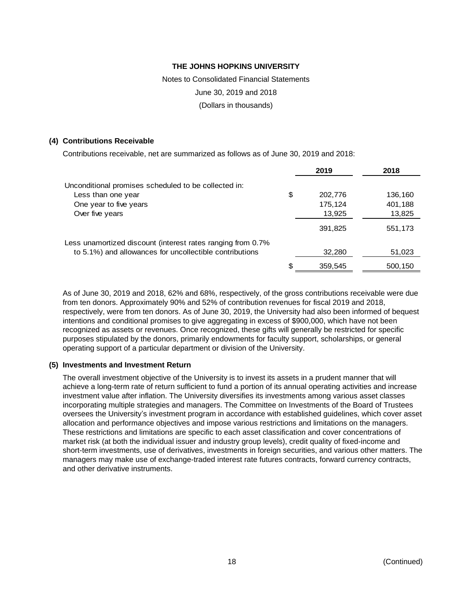Notes to Consolidated Financial Statements

June 30, 2019 and 2018

(Dollars in thousands)

### **(4) Contributions Receivable**

Contributions receivable, net are summarized as follows as of June 30, 2019 and 2018:

|                                                             | 2019          | 2018    |
|-------------------------------------------------------------|---------------|---------|
| Unconditional promises scheduled to be collected in:        |               |         |
| Less than one year                                          | \$<br>202,776 | 136,160 |
| One year to five years                                      | 175,124       | 401,188 |
| Over five years                                             | 13,925        | 13,825  |
|                                                             | 391,825       | 551,173 |
| Less unamortized discount (interest rates ranging from 0.7% |               |         |
| to 5.1%) and allowances for uncollectible contributions     | 32,280        | 51,023  |
|                                                             | \$<br>359,545 | 500,150 |

As of June 30, 2019 and 2018, 62% and 68%, respectively, of the gross contributions receivable were due from ten donors. Approximately 90% and 52% of contribution revenues for fiscal 2019 and 2018, respectively, were from ten donors. As of June 30, 2019, the University had also been informed of bequest intentions and conditional promises to give aggregating in excess of \$900,000, which have not been recognized as assets or revenues. Once recognized, these gifts will generally be restricted for specific purposes stipulated by the donors, primarily endowments for faculty support, scholarships, or general operating support of a particular department or division of the University.

### **(5) Investments and Investment Return**

The overall investment objective of the University is to invest its assets in a prudent manner that will achieve a long-term rate of return sufficient to fund a portion of its annual operating activities and increase investment value after inflation. The University diversifies its investments among various asset classes incorporating multiple strategies and managers. The Committee on Investments of the Board of Trustees oversees the University's investment program in accordance with established guidelines, which cover asset allocation and performance objectives and impose various restrictions and limitations on the managers. These restrictions and limitations are specific to each asset classification and cover concentrations of market risk (at both the individual issuer and industry group levels), credit quality of fixed-income and short-term investments, use of derivatives, investments in foreign securities, and various other matters. The managers may make use of exchange-traded interest rate futures contracts, forward currency contracts, and other derivative instruments.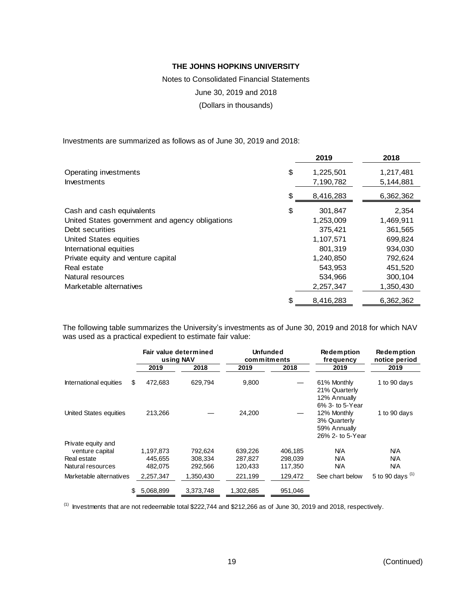Notes to Consolidated Financial Statements

June 30, 2019 and 2018

(Dollars in thousands)

Investments are summarized as follows as of June 30, 2019 and 2018:

|                                                 |    | 2019      | 2018      |
|-------------------------------------------------|----|-----------|-----------|
| Operating investments                           | \$ | 1,225,501 | 1,217,481 |
| <b>Investments</b>                              |    | 7,190,782 | 5,144,881 |
|                                                 | S  | 8,416,283 | 6,362,362 |
| Cash and cash equivalents                       | \$ | 301,847   | 2,354     |
| United States government and agency obligations |    | 1,253,009 | 1,469,911 |
| Debt securities                                 |    | 375,421   | 361,565   |
| United States equities                          |    | 1,107,571 | 699,824   |
| International equities                          |    | 801,319   | 934,030   |
| Private equity and venture capital              |    | 1,240,850 | 792,624   |
| Real estate                                     |    | 543,953   | 451,520   |
| Natural resources                               |    | 534,966   | 300,104   |
| Marketable alternatives                         |    | 2,257,347 | 1,350,430 |
|                                                 | \$ | 8,416,283 | 6,362,362 |

The following table summarizes the University's investments as of June 30, 2019 and 2018 for which NAV was used as a practical expedient to estimate fair value:

|                         | Fair value determined<br>using NAV |           | <b>Unfunded</b><br>commitments |         | <b>Redemption</b><br>frequency                                  | <b>Redemption</b><br>notice period |
|-------------------------|------------------------------------|-----------|--------------------------------|---------|-----------------------------------------------------------------|------------------------------------|
|                         | 2019                               | 2018      | 2019                           | 2018    | 2019                                                            | 2019                               |
| International equities  | \$<br>472.683                      | 629.794   | 9,800                          |         | 61% Monthly<br>21% Quarterly<br>12% Annually<br>6% 3- to 5-Year | 1 to 90 days                       |
| United States equities  | 213,266                            |           | 24,200                         |         | 12% Monthly<br>3% Quarterly<br>59% Annually<br>26% 2- to 5-Year | 1 to 90 days                       |
| Private equity and      |                                    |           |                                |         |                                                                 |                                    |
| venture capital         | 1,197,873                          | 792.624   | 639.226                        | 406.185 | <b>N/A</b>                                                      | <b>N/A</b>                         |
| Real estate             | 445,655                            | 308,334   | 287,827                        | 298,039 | N/A                                                             | <b>N/A</b>                         |
| Natural resources       | 482,075                            | 292,566   | 120,433                        | 117,350 | <b>N/A</b>                                                      | <b>N/A</b>                         |
| Marketable alternatives | 2,257,347                          | 1,350,430 | 221,199                        | 129,472 | See chart below                                                 | 5 to 90 days $(1)$                 |
|                         | \$<br>5,068,899                    | 3,373,748 | 1,302,685                      | 951,046 |                                                                 |                                    |

 $(1)$  Investments that are not redeemable total \$222,744 and \$212,266 as of June 30, 2019 and 2018, respectively.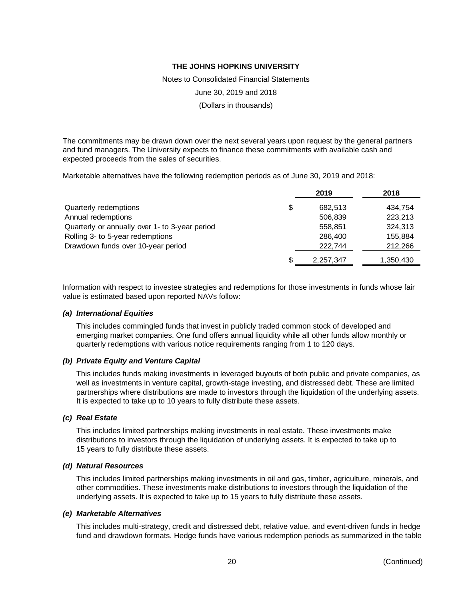Notes to Consolidated Financial Statements

June 30, 2019 and 2018

(Dollars in thousands)

The commitments may be drawn down over the next several years upon request by the general partners and fund managers. The University expects to finance these commitments with available cash and expected proceeds from the sales of securities.

Marketable alternatives have the following redemption periods as of June 30, 2019 and 2018:

|                                                |    | 2019      | 2018      |
|------------------------------------------------|----|-----------|-----------|
| Quarterly redemptions                          | \$ | 682.513   | 434.754   |
| Annual redemptions                             |    | 506,839   | 223,213   |
| Quarterly or annually over 1- to 3-year period |    | 558,851   | 324,313   |
| Rolling 3- to 5-year redemptions               |    | 286,400   | 155,884   |
| Drawdown funds over 10-year period             |    | 222.744   | 212,266   |
|                                                | S  | 2,257,347 | 1,350,430 |

Information with respect to investee strategies and redemptions for those investments in funds whose fair value is estimated based upon reported NAVs follow:

### *(a) International Equities*

This includes commingled funds that invest in publicly traded common stock of developed and emerging market companies. One fund offers annual liquidity while all other funds allow monthly or quarterly redemptions with various notice requirements ranging from 1 to 120 days.

## *(b) Private Equity and Venture Capital*

This includes funds making investments in leveraged buyouts of both public and private companies, as well as investments in venture capital, growth-stage investing, and distressed debt. These are limited partnerships where distributions are made to investors through the liquidation of the underlying assets. It is expected to take up to 10 years to fully distribute these assets.

### *(c) Real Estate*

This includes limited partnerships making investments in real estate. These investments make distributions to investors through the liquidation of underlying assets. It is expected to take up to 15 years to fully distribute these assets.

### *(d) Natural Resources*

This includes limited partnerships making investments in oil and gas, timber, agriculture, minerals, and other commodities. These investments make distributions to investors through the liquidation of the underlying assets. It is expected to take up to 15 years to fully distribute these assets.

### *(e) Marketable Alternatives*

This includes multi-strategy, credit and distressed debt, relative value, and event-driven funds in hedge fund and drawdown formats. Hedge funds have various redemption periods as summarized in the table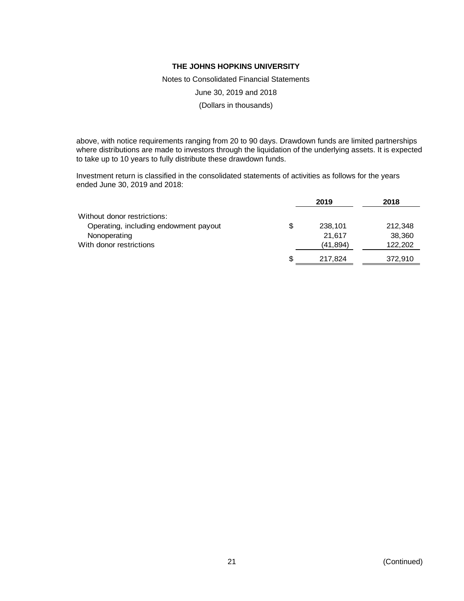Notes to Consolidated Financial Statements

June 30, 2019 and 2018

(Dollars in thousands)

above, with notice requirements ranging from 20 to 90 days. Drawdown funds are limited partnerships where distributions are made to investors through the liquidation of the underlying assets. It is expected to take up to 10 years to fully distribute these drawdown funds.

Investment return is classified in the consolidated statements of activities as follows for the years ended June 30, 2019 and 2018:

|                                       | 2019          | 2018    |
|---------------------------------------|---------------|---------|
| Without donor restrictions:           |               |         |
| Operating, including endowment payout | \$<br>238.101 | 212,348 |
| Nonoperating                          | 21,617        | 38,360  |
| With donor restrictions               | (41, 894)     | 122,202 |
|                                       | \$<br>217,824 | 372,910 |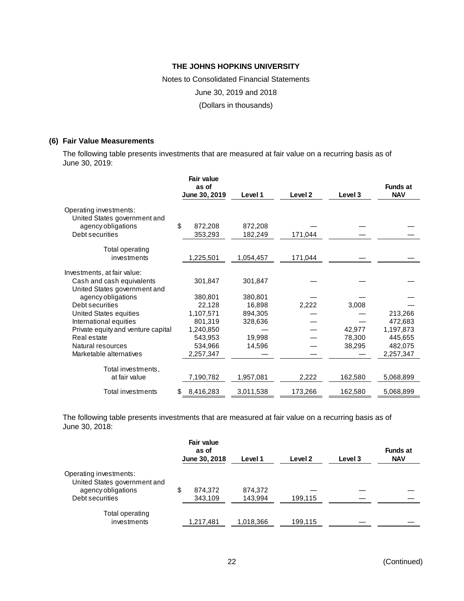Notes to Consolidated Financial Statements

June 30, 2019 and 2018

(Dollars in thousands)

#### **(6) Fair Value Measurements**

The following table presents investments that are measured at fair value on a recurring basis as of June 30, 2019:

|                                    | Fair value<br>as of<br>June 30, 2019 | Level 1   | Level <sub>2</sub> | Level 3 | <b>Funds at</b><br><b>NAV</b> |
|------------------------------------|--------------------------------------|-----------|--------------------|---------|-------------------------------|
| Operating investments:             |                                      |           |                    |         |                               |
| United States government and       |                                      |           |                    |         |                               |
| agency obligations                 | \$<br>872,208                        | 872,208   |                    |         |                               |
| Debt securities                    | 353,293                              | 182,249   | 171,044            |         |                               |
| Total operating                    |                                      |           |                    |         |                               |
| investments                        | 1,225,501                            | 1,054,457 | 171,044            |         |                               |
| Investments, at fair value:        |                                      |           |                    |         |                               |
| Cash and cash equivalents          | 301,847                              | 301,847   |                    |         |                               |
| United States government and       |                                      |           |                    |         |                               |
| agency obligations                 | 380,801                              | 380,801   |                    |         |                               |
| Debt securities                    | 22,128                               | 16,898    | 2,222              | 3,008   |                               |
| <b>United States equities</b>      | 1,107,571                            | 894,305   |                    |         | 213,266                       |
| International equities             | 801,319                              | 328,636   |                    |         | 472,683                       |
| Private equity and venture capital | 1,240,850                            |           |                    | 42,977  | 1,197,873                     |
| Real estate                        | 543,953                              | 19,998    |                    | 78,300  | 445,655                       |
| Natural resources                  | 534,966                              | 14,596    |                    | 38,295  | 482,075                       |
| Marketable alternatives            | 2,257,347                            |           |                    |         | 2,257,347                     |
| Total investments,                 |                                      |           |                    |         |                               |
| at fair value                      | 7,190,782                            | 1,957,081 | 2,222              | 162,580 | 5,068,899                     |
| Total investments                  | 8,416,283<br>S                       | 3,011,538 | 173,266            | 162,580 | 5,068,899                     |

The following table presents investments that are measured at fair value on a recurring basis as of June 30, 2018:

|                                                        | Fair value<br>as of<br>June 30, 2018 | Level 1   | Level 2 | Level 3 | <b>Funds at</b><br><b>NAV</b> |
|--------------------------------------------------------|--------------------------------------|-----------|---------|---------|-------------------------------|
| Operating investments:<br>United States government and |                                      |           |         |         |                               |
| agency obligations                                     | \$<br>874,372                        | 874,372   |         |         |                               |
| Debt securities                                        | 343,109                              | 143.994   | 199.115 |         |                               |
| Total operating<br>investments                         | 1,217,481                            | 1,018,366 | 199,115 |         |                               |
|                                                        |                                      |           |         |         |                               |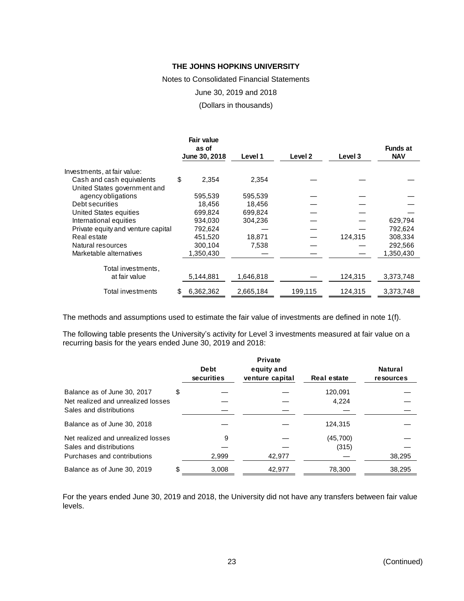Notes to Consolidated Financial Statements

June 30, 2019 and 2018

(Dollars in thousands)

|                                    | <b>Fair value</b><br>as of<br>June 30, 2018 |           | Level 1   | Level 2 | Level 3 | <b>Funds at</b><br><b>NAV</b> |
|------------------------------------|---------------------------------------------|-----------|-----------|---------|---------|-------------------------------|
| Investments, at fair value:        |                                             |           |           |         |         |                               |
| Cash and cash equivalents          | \$                                          | 2.354     | 2.354     |         |         |                               |
| United States government and       |                                             |           |           |         |         |                               |
| agency obligations                 |                                             | 595,539   | 595,539   |         |         |                               |
| Debt securities                    |                                             | 18.456    | 18.456    |         |         |                               |
| <b>United States equities</b>      |                                             | 699,824   | 699,824   |         |         |                               |
| International equities             |                                             | 934,030   | 304,236   |         |         | 629,794                       |
| Private equity and venture capital |                                             | 792,624   |           |         |         | 792,624                       |
| Real estate                        |                                             | 451,520   | 18.871    |         | 124,315 | 308,334                       |
| Natural resources                  |                                             | 300,104   | 7,538     |         |         | 292,566                       |
| Marketable alternatives            |                                             | 1,350,430 |           |         |         | 1,350,430                     |
| Total investments,                 |                                             |           |           |         |         |                               |
| at fair value                      | 5,144,881                                   |           | 1,646,818 |         | 124,315 | 3,373,748                     |
| Total investments                  | 6,362,362<br>S                              |           | 2,665,184 | 199,115 | 124,315 | 3,373,748                     |

The methods and assumptions used to estimate the fair value of investments are defined in note 1(f).

The following table presents the University's activity for Level 3 investments measured at fair value on a recurring basis for the years ended June 30, 2019 and 2018:

|                                                                                              | <b>Debt</b><br>securities | <b>Private</b><br>equity and<br>venture capital | <b>Real estate</b> | <b>Natural</b><br>resources |
|----------------------------------------------------------------------------------------------|---------------------------|-------------------------------------------------|--------------------|-----------------------------|
| Balance as of June 30, 2017<br>Net realized and unrealized losses<br>Sales and distributions | \$                        |                                                 | 120.091<br>4.224   |                             |
| Balance as of June 30, 2018                                                                  |                           |                                                 | 124.315            |                             |
| Net realized and unrealized losses<br>Sales and distributions<br>Purchases and contributions | 9<br>2,999                | 42,977                                          | (45,700)<br>(315)  | 38,295                      |
| Balance as of June 30, 2019                                                                  | \$<br>3.008               | 42.977                                          | 78.300             | 38.295                      |

For the years ended June 30, 2019 and 2018, the University did not have any transfers between fair value levels.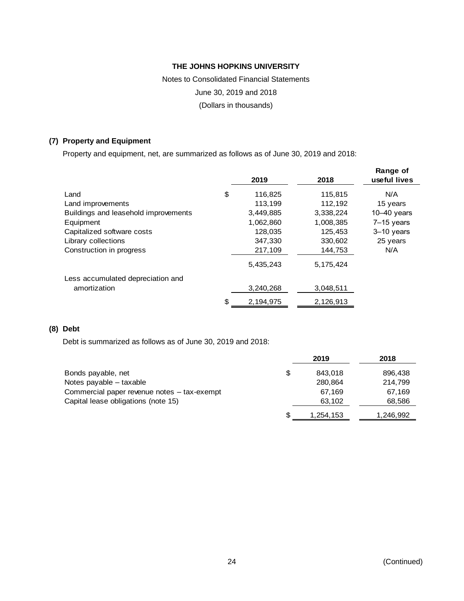## Notes to Consolidated Financial Statements June 30, 2019 and 2018 (Dollars in thousands)

## **(7) Property and Equipment**

Property and equipment, net, are summarized as follows as of June 30, 2019 and 2018:

|                                      | 2019            | 2018        | Range of<br>useful lives |
|--------------------------------------|-----------------|-------------|--------------------------|
| Land                                 | \$<br>116,825   | 115,815     | N/A                      |
| Land improvements                    | 113,199         | 112,192     | 15 years                 |
| Buildings and leasehold improvements | 3,449,885       | 3,338,224   | $10-40$ years            |
| Equipment                            | 1,062,860       | 1,008,385   | $7-15$ years             |
| Capitalized software costs           | 128,035         | 125,453     | 3-10 years               |
| Library collections                  | 347,330         | 330,602     | 25 years                 |
| Construction in progress             | 217,109         | 144,753     | N/A                      |
|                                      | 5,435,243       | 5, 175, 424 |                          |
| Less accumulated depreciation and    |                 |             |                          |
| amortization                         | 3,240,268       | 3,048,511   |                          |
|                                      | \$<br>2,194,975 | 2,126,913   |                          |

## **(8) Debt**

Debt is summarized as follows as of June 30, 2019 and 2018:

|                                             |    | 2019      | 2018      |
|---------------------------------------------|----|-----------|-----------|
| Bonds payable, net                          | \$ | 843.018   | 896,438   |
| Notes payable - taxable                     |    | 280,864   | 214,799   |
| Commercial paper revenue notes - tax-exempt |    | 67.169    | 67,169    |
| Capital lease obligations (note 15)         |    | 63,102    | 68,586    |
|                                             | S  | 1,254,153 | 1,246,992 |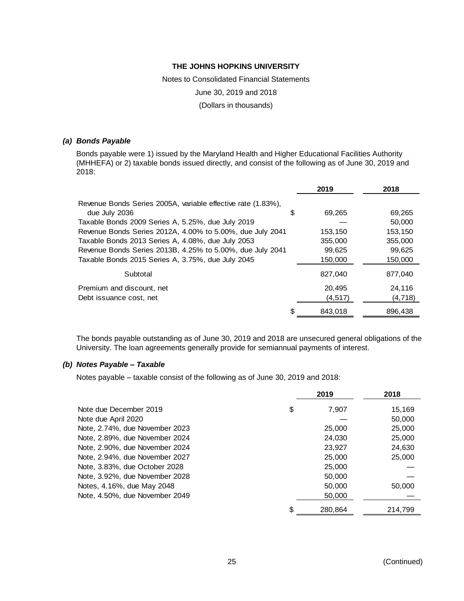## Notes to Consolidated Financial Statements June 30, 2019 and 2018

(Dollars in thousands)

#### *(a) Bonds Payable*

Bonds payable were 1) issued by the Maryland Health and Higher Educational Facilities Authority (MHHEFA) or 2) taxable bonds issued directly, and consist of the following as of June 30, 2019 and 2018:

|                                                              |   | 2019     | 2018     |
|--------------------------------------------------------------|---|----------|----------|
| Revenue Bonds Series 2005A, variable effective rate (1.83%), |   |          |          |
| due July 2036                                                | S | 69,265   | 69,265   |
| Taxable Bonds 2009 Series A, 5.25%, due July 2019            |   |          | 50,000   |
| Revenue Bonds Series 2012A, 4.00% to 5.00%, due July 2041    |   | 153,150  | 153.150  |
| Taxable Bonds 2013 Series A, 4.08%, due July 2053            |   | 355,000  | 355,000  |
| Revenue Bonds Series 2013B, 4.25% to 5.00%, due July 2041    |   | 99,625   | 99.625   |
| Taxable Bonds 2015 Series A, 3.75%, due July 2045            |   | 150,000  | 150,000  |
| Subtotal                                                     |   | 827.040  | 877,040  |
| Premium and discount, net                                    |   | 20,495   | 24,116   |
| Debt issuance cost, net                                      |   | (4, 517) | (4, 718) |
|                                                              | S | 843,018  | 896,438  |

The bonds payable outstanding as of June 30, 2019 and 2018 are unsecured general obligations of the University. The loan agreements generally provide for semiannual payments of interest.

#### *(b) Notes Payable – Taxable*

Notes payable – taxable consist of the following as of June 30, 2019 and 2018:

|                                | 2019          | 2018    |
|--------------------------------|---------------|---------|
| Note due December 2019         | \$<br>7,907   | 15,169  |
| Note due April 2020            |               | 50,000  |
| Note, 2.74%, due November 2023 | 25,000        | 25,000  |
| Note, 2.89%, due November 2024 | 24.030        | 25,000  |
| Note, 2.90%, due November 2024 | 23,927        | 24,630  |
| Note, 2.94%, due November 2027 | 25,000        | 25,000  |
| Note, 3.83%, due October 2028  | 25,000        |         |
| Note, 3.92%, due November 2028 | 50,000        |         |
| Notes, 4.16%, due May 2048     | 50,000        | 50,000  |
| Note, 4.50%, due November 2049 | 50,000        |         |
|                                | \$<br>280.864 | 214.799 |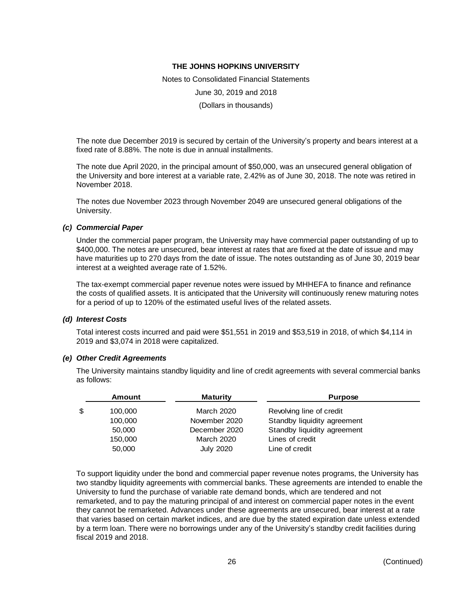Notes to Consolidated Financial Statements June 30, 2019 and 2018 (Dollars in thousands)

The note due December 2019 is secured by certain of the University's property and bears interest at a fixed rate of 8.88%. The note is due in annual installments.

The note due April 2020, in the principal amount of \$50,000, was an unsecured general obligation of the University and bore interest at a variable rate, 2.42% as of June 30, 2018. The note was retired in November 2018.

The notes due November 2023 through November 2049 are unsecured general obligations of the University.

### *(c) Commercial Paper*

Under the commercial paper program, the University may have commercial paper outstanding of up to \$400,000. The notes are unsecured, bear interest at rates that are fixed at the date of issue and may have maturities up to 270 days from the date of issue. The notes outstanding as of June 30, 2019 bear interest at a weighted average rate of 1.52%.

The tax-exempt commercial paper revenue notes were issued by MHHEFA to finance and refinance the costs of qualified assets. It is anticipated that the University will continuously renew maturing notes for a period of up to 120% of the estimated useful lives of the related assets.

### *(d) Interest Costs*

Total interest costs incurred and paid were \$51,551 in 2019 and \$53,519 in 2018, of which \$4,114 in 2019 and \$3,074 in 2018 were capitalized.

### *(e) Other Credit Agreements*

The University maintains standby liquidity and line of credit agreements with several commercial banks as follows:

| Amount        | <b>Maturity</b>   | <b>Purpose</b>              |  |
|---------------|-------------------|-----------------------------|--|
| \$<br>100,000 | March 2020        | Revolving line of credit    |  |
| 100,000       | November 2020     | Standby liquidity agreement |  |
| 50,000        | December 2020     | Standby liquidity agreement |  |
| 150,000       | <b>March 2020</b> | Lines of credit             |  |
| 50,000        | <b>July 2020</b>  | Line of credit              |  |

To support liquidity under the bond and commercial paper revenue notes programs, the University has two standby liquidity agreements with commercial banks. These agreements are intended to enable the University to fund the purchase of variable rate demand bonds, which are tendered and not remarketed, and to pay the maturing principal of and interest on commercial paper notes in the event they cannot be remarketed. Advances under these agreements are unsecured, bear interest at a rate that varies based on certain market indices, and are due by the stated expiration date unless extended by a term loan. There were no borrowings under any of the University's standby credit facilities during fiscal 2019 and 2018.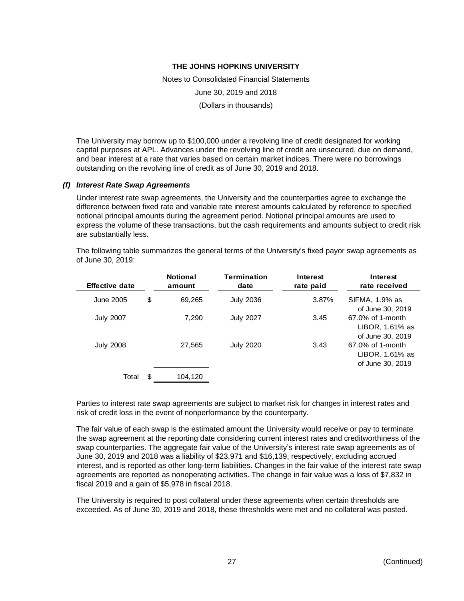Notes to Consolidated Financial Statements June 30, 2019 and 2018 (Dollars in thousands)

The University may borrow up to \$100,000 under a revolving line of credit designated for working capital purposes at APL. Advances under the revolving line of credit are unsecured, due on demand, and bear interest at a rate that varies based on certain market indices. There were no borrowings outstanding on the revolving line of credit as of June 30, 2019 and 2018.

### *(f) Interest Rate Swap Agreements*

Under interest rate swap agreements, the University and the counterparties agree to exchange the difference between fixed rate and variable rate interest amounts calculated by reference to specified notional principal amounts during the agreement period. Notional principal amounts are used to express the volume of these transactions, but the cash requirements and amounts subject to credit risk are substantially less.

The following table summarizes the general terms of the University's fixed payor swap agreements as of June 30, 2019:

| <b>Effective date</b> | <b>Notional</b><br>amount | <b>Termination</b><br>date | Interest<br>rate paid | Interest<br>rate received                               |
|-----------------------|---------------------------|----------------------------|-----------------------|---------------------------------------------------------|
| June 2005             | \$<br>69,265              | <b>July 2036</b>           | 3.87%                 | SIFMA, 1.9% as<br>of June 30, 2019                      |
| <b>July 2007</b>      | 7,290                     | <b>July 2027</b>           | 3.45                  | 67.0% of 1-month<br>LIBOR, 1.61% as<br>of June 30, 2019 |
| <b>July 2008</b>      | 27,565                    | <b>July 2020</b>           | 3.43                  | 67.0% of 1-month<br>LIBOR, 1.61% as<br>of June 30, 2019 |
| Total                 | \$<br>104,120             |                            |                       |                                                         |

Parties to interest rate swap agreements are subject to market risk for changes in interest rates and risk of credit loss in the event of nonperformance by the counterparty.

The fair value of each swap is the estimated amount the University would receive or pay to terminate the swap agreement at the reporting date considering current interest rates and creditworthiness of the swap counterparties. The aggregate fair value of the University's interest rate swap agreements as of June 30, 2019 and 2018 was a liability of \$23,971 and \$16,139, respectively, excluding accrued interest, and is reported as other long-term liabilities. Changes in the fair value of the interest rate swap agreements are reported as nonoperating activities. The change in fair value was a loss of \$7,832 in fiscal 2019 and a gain of \$5,978 in fiscal 2018.

The University is required to post collateral under these agreements when certain thresholds are exceeded. As of June 30, 2019 and 2018, these thresholds were met and no collateral was posted.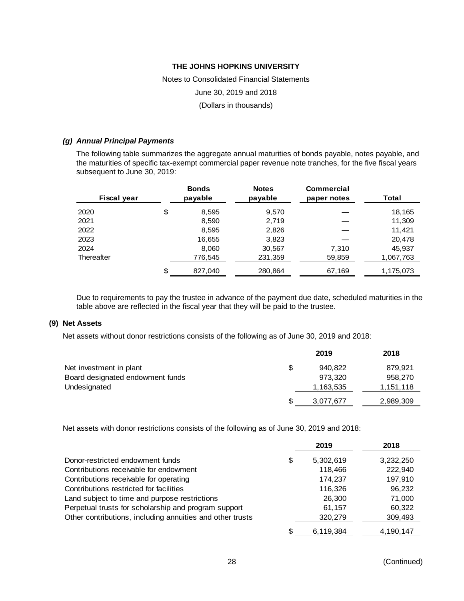Notes to Consolidated Financial Statements June 30, 2019 and 2018 (Dollars in thousands)

### *(g) Annual Principal Payments*

The following table summarizes the aggregate annual maturities of bonds payable, notes payable, and the maturities of specific tax-exempt commercial paper revenue note tranches, for the five fiscal years subsequent to June 30, 2019:

| Fiscal year | <b>Bonds</b><br>payable | <b>Notes</b><br>payable | <b>Commercial</b><br>paper notes | Total     |
|-------------|-------------------------|-------------------------|----------------------------------|-----------|
| 2020        | \$<br>8,595             | 9,570                   |                                  | 18,165    |
| 2021        | 8,590                   | 2,719                   |                                  | 11,309    |
| 2022        | 8,595                   | 2,826                   |                                  | 11,421    |
| 2023        | 16,655                  | 3,823                   |                                  | 20,478    |
| 2024        | 8,060                   | 30,567                  | 7,310                            | 45,937    |
| Thereafter  | 776,545                 | 231,359                 | 59,859                           | 1,067,763 |
|             | \$<br>827,040           | 280,864                 | 67,169                           | 1,175,073 |

Due to requirements to pay the trustee in advance of the payment due date, scheduled maturities in the table above are reflected in the fiscal year that they will be paid to the trustee.

#### **(9) Net Assets**

Net assets without donor restrictions consists of the following as of June 30, 2019 and 2018:

|                                  |    | 2019      | 2018      |
|----------------------------------|----|-----------|-----------|
| Net investment in plant          | \$ | 940.822   | 879.921   |
| Board designated endowment funds |    | 973.320   | 958.270   |
| Undesignated                     |    | 1,163,535 | 1,151,118 |
|                                  | S  | 3,077,677 | 2,989,309 |

Net assets with donor restrictions consists of the following as of June 30, 2019 and 2018:

|                                                           | 2019            | 2018      |
|-----------------------------------------------------------|-----------------|-----------|
| Donor-restricted endowment funds                          | \$<br>5,302,619 | 3,232,250 |
| Contributions receivable for endowment                    | 118,466         | 222,940   |
| Contributions receivable for operating                    | 174,237         | 197,910   |
| Contributions restricted for facilities                   | 116,326         | 96,232    |
| Land subject to time and purpose restrictions             | 26,300          | 71,000    |
| Perpetual trusts for scholarship and program support      | 61,157          | 60,322    |
| Other contributions, including annuities and other trusts | 320,279         | 309,493   |
|                                                           | \$<br>6,119,384 | 4,190,147 |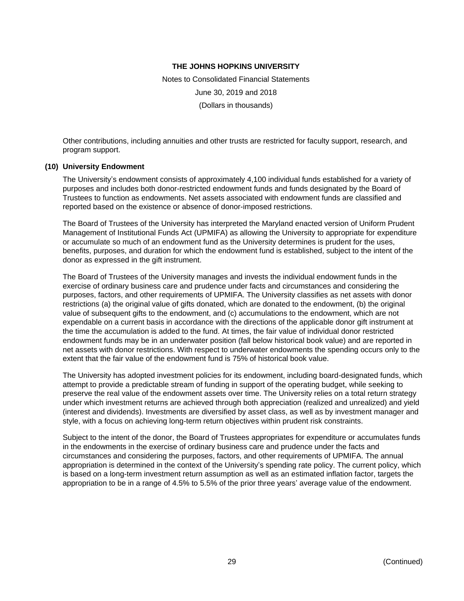Notes to Consolidated Financial Statements June 30, 2019 and 2018 (Dollars in thousands)

Other contributions, including annuities and other trusts are restricted for faculty support, research, and program support.

### **(10) University Endowment**

The University's endowment consists of approximately 4,100 individual funds established for a variety of purposes and includes both donor-restricted endowment funds and funds designated by the Board of Trustees to function as endowments. Net assets associated with endowment funds are classified and reported based on the existence or absence of donor-imposed restrictions.

The Board of Trustees of the University has interpreted the Maryland enacted version of Uniform Prudent Management of Institutional Funds Act (UPMIFA) as allowing the University to appropriate for expenditure or accumulate so much of an endowment fund as the University determines is prudent for the uses, benefits, purposes, and duration for which the endowment fund is established, subject to the intent of the donor as expressed in the gift instrument.

The Board of Trustees of the University manages and invests the individual endowment funds in the exercise of ordinary business care and prudence under facts and circumstances and considering the purposes, factors, and other requirements of UPMIFA. The University classifies as net assets with donor restrictions (a) the original value of gifts donated, which are donated to the endowment, (b) the original value of subsequent gifts to the endowment, and (c) accumulations to the endowment, which are not expendable on a current basis in accordance with the directions of the applicable donor gift instrument at the time the accumulation is added to the fund. At times, the fair value of individual donor restricted endowment funds may be in an underwater position (fall below historical book value) and are reported in net assets with donor restrictions. With respect to underwater endowments the spending occurs only to the extent that the fair value of the endowment fund is 75% of historical book value.

The University has adopted investment policies for its endowment, including board-designated funds, which attempt to provide a predictable stream of funding in support of the operating budget, while seeking to preserve the real value of the endowment assets over time. The University relies on a total return strategy under which investment returns are achieved through both appreciation (realized and unrealized) and yield (interest and dividends). Investments are diversified by asset class, as well as by investment manager and style, with a focus on achieving long-term return objectives within prudent risk constraints.

Subject to the intent of the donor, the Board of Trustees appropriates for expenditure or accumulates funds in the endowments in the exercise of ordinary business care and prudence under the facts and circumstances and considering the purposes, factors, and other requirements of UPMIFA. The annual appropriation is determined in the context of the University's spending rate policy. The current policy, which is based on a long-term investment return assumption as well as an estimated inflation factor, targets the appropriation to be in a range of 4.5% to 5.5% of the prior three years' average value of the endowment.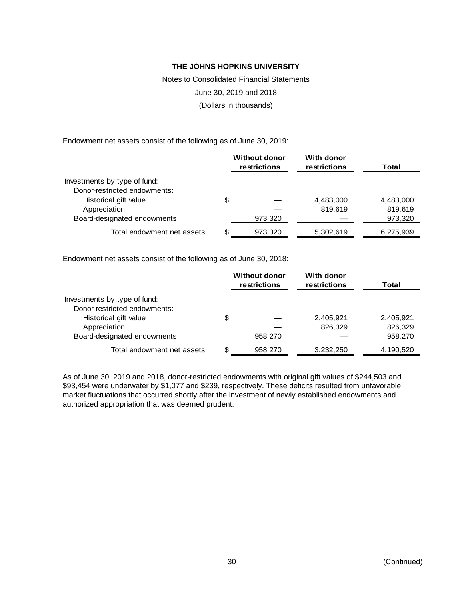Notes to Consolidated Financial Statements June 30, 2019 and 2018 (Dollars in thousands)

Endowment net assets consist of the following as of June 30, 2019:

|                              |    | <b>Without donor</b><br>restrictions | With donor<br>restrictions | Total     |
|------------------------------|----|--------------------------------------|----------------------------|-----------|
| Investments by type of fund: |    |                                      |                            |           |
| Donor-restricted endowments: |    |                                      |                            |           |
| Historical gift value        | \$ |                                      | 4,483,000                  | 4,483,000 |
| Appreciation                 |    |                                      | 819,619                    | 819,619   |
| Board-designated endowments  |    | 973,320                              |                            | 973,320   |
| Total endowment net assets   | S  | 973,320                              | 5,302,619                  | 6,275,939 |

Endowment net assets consist of the following as of June 30, 2018:

|                              |    | <b>Without donor</b><br>restrictions | With donor<br>restrictions | Total     |
|------------------------------|----|--------------------------------------|----------------------------|-----------|
| Investments by type of fund: |    |                                      |                            |           |
| Donor-restricted endowments: |    |                                      |                            |           |
| Historical gift value        | \$ |                                      | 2,405,921                  | 2,405,921 |
| Appreciation                 |    |                                      | 826,329                    | 826,329   |
| Board-designated endowments  |    | 958,270                              |                            | 958,270   |
| Total endowment net assets   | S  | 958.270                              | 3,232,250                  | 4,190,520 |

As of June 30, 2019 and 2018, donor-restricted endowments with original gift values of \$244,503 and \$93,454 were underwater by \$1,077 and \$239, respectively. These deficits resulted from unfavorable market fluctuations that occurred shortly after the investment of newly established endowments and authorized appropriation that was deemed prudent.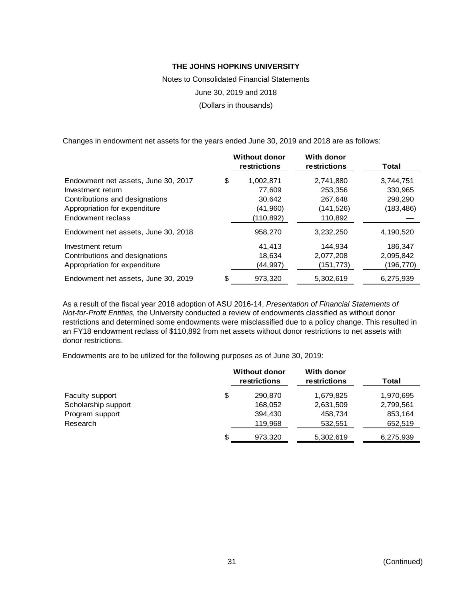Notes to Consolidated Financial Statements June 30, 2019 and 2018 (Dollars in thousands)

Changes in endowment net assets for the years ended June 30, 2019 and 2018 are as follows:

|                                                                                      | <b>Without donor</b><br>restrictions | With donor<br>restrictions        | Total                             |
|--------------------------------------------------------------------------------------|--------------------------------------|-----------------------------------|-----------------------------------|
| Endowment net assets, June 30, 2017<br>Investment return                             | \$<br>1.002.871<br>77.609            | 2.741.880<br>253,356              | 3,744,751<br>330.965              |
| Contributions and designations<br>Appropriation for expenditure<br>Endowment reclass | 30,642<br>(41,960)<br>(110,892)      | 267,648<br>(141,526)<br>110,892   | 298,290<br>(183, 486)             |
| Endowment net assets, June 30, 2018                                                  | 958.270                              | 3,232,250                         | 4,190,520                         |
| Investment return<br>Contributions and designations<br>Appropriation for expenditure | 41,413<br>18,634<br>(44,997)         | 144.934<br>2,077,208<br>(151,773) | 186.347<br>2,095,842<br>(196,770) |
| Endowment net assets, June 30, 2019                                                  | \$<br>973.320                        | 5.302.619                         | 6,275,939                         |

As a result of the fiscal year 2018 adoption of ASU 2016-14, *Presentation of Financial Statements of Not-for-Profit Entities,* the University conducted a review of endowments classified as without donor restrictions and determined some endowments were misclassified due to a policy change. This resulted in an FY18 endowment reclass of \$110,892 from net assets without donor restrictions to net assets with donor restrictions.

Endowments are to be utilized for the following purposes as of June 30, 2019:

|                     | <b>Without donor</b><br>restrictions | With donor<br>restrictions | Total     |
|---------------------|--------------------------------------|----------------------------|-----------|
| Faculty support     | \$<br>290,870                        | 1,679,825                  | 1,970,695 |
| Scholarship support | 168,052                              | 2,631,509                  | 2,799,561 |
| Program support     | 394,430                              | 458,734                    | 853,164   |
| Research            | 119,968                              | 532,551                    | 652,519   |
|                     | \$<br>973,320                        | 5,302,619                  | 6,275,939 |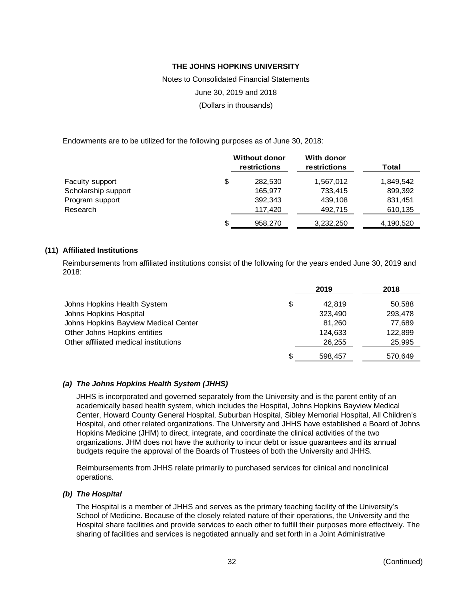Notes to Consolidated Financial Statements June 30, 2019 and 2018 (Dollars in thousands)

Endowments are to be utilized for the following purposes as of June 30, 2018:

|                     | <b>Without donor</b><br>restrictions | With donor<br>restrictions | Total     |
|---------------------|--------------------------------------|----------------------------|-----------|
| Faculty support     | \$<br>282,530                        | 1,567,012                  | 1,849,542 |
| Scholarship support | 165.977                              | 733,415                    | 899,392   |
| Program support     | 392.343                              | 439,108                    | 831,451   |
| Research            | 117,420                              | 492,715                    | 610,135   |
|                     | \$<br>958,270                        | 3,232,250                  | 4,190,520 |

### **(11) Affiliated Institutions**

Reimbursements from affiliated institutions consist of the following for the years ended June 30, 2019 and 2018:

|                                       |    | 2019    | 2018    |
|---------------------------------------|----|---------|---------|
| Johns Hopkins Health System           | \$ | 42.819  | 50,588  |
| Johns Hopkins Hospital                |    | 323,490 | 293,478 |
| Johns Hopkins Bayview Medical Center  |    | 81.260  | 77.689  |
| Other Johns Hopkins entities          |    | 124,633 | 122,899 |
| Other affiliated medical institutions |    | 26,255  | 25,995  |
|                                       | S  | 598.457 | 570.649 |

## *(a) The Johns Hopkins Health System (JHHS)*

JHHS is incorporated and governed separately from the University and is the parent entity of an academically based health system, which includes the Hospital, Johns Hopkins Bayview Medical Center, Howard County General Hospital, Suburban Hospital, Sibley Memorial Hospital, All Children's Hospital, and other related organizations. The University and JHHS have established a Board of Johns Hopkins Medicine (JHM) to direct, integrate, and coordinate the clinical activities of the two organizations. JHM does not have the authority to incur debt or issue guarantees and its annual budgets require the approval of the Boards of Trustees of both the University and JHHS.

Reimbursements from JHHS relate primarily to purchased services for clinical and nonclinical operations.

## *(b) The Hospital*

The Hospital is a member of JHHS and serves as the primary teaching facility of the University's School of Medicine. Because of the closely related nature of their operations, the University and the Hospital share facilities and provide services to each other to fulfill their purposes more effectively. The sharing of facilities and services is negotiated annually and set forth in a Joint Administrative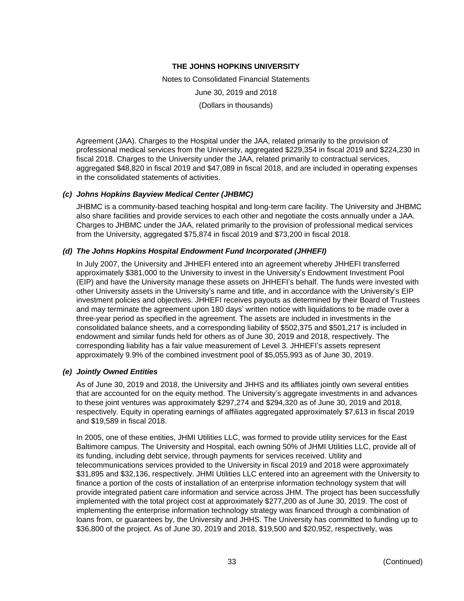Notes to Consolidated Financial Statements June 30, 2019 and 2018 (Dollars in thousands)

Agreement (JAA). Charges to the Hospital under the JAA, related primarily to the provision of professional medical services from the University, aggregated \$229,354 in fiscal 2019 and \$224,230 in fiscal 2018. Charges to the University under the JAA, related primarily to contractual services, aggregated \$48,820 in fiscal 2019 and \$47,089 in fiscal 2018, and are included in operating expenses in the consolidated statements of activities.

## *(c) Johns Hopkins Bayview Medical Center (JHBMC)*

JHBMC is a community-based teaching hospital and long-term care facility. The University and JHBMC also share facilities and provide services to each other and negotiate the costs annually under a JAA. Charges to JHBMC under the JAA, related primarily to the provision of professional medical services from the University, aggregated \$75,874 in fiscal 2019 and \$73,200 in fiscal 2018.

## *(d) The Johns Hopkins Hospital Endowment Fund Incorporated (JHHEFI)*

In July 2007, the University and JHHEFI entered into an agreement whereby JHHEFI transferred approximately \$381,000 to the University to invest in the University's Endowment Investment Pool (EIP) and have the University manage these assets on JHHEFI's behalf. The funds were invested with other University assets in the University's name and title, and in accordance with the University's EIP investment policies and objectives. JHHEFI receives payouts as determined by their Board of Trustees and may terminate the agreement upon 180 days' written notice with liquidations to be made over a three-year period as specified in the agreement. The assets are included in investments in the consolidated balance sheets, and a corresponding liability of \$502,375 and \$501,217 is included in endowment and similar funds held for others as of June 30, 2019 and 2018, respectively. The corresponding liability has a fair value measurement of Level 3. JHHEFI's assets represent approximately 9.9% of the combined investment pool of \$5,055,993 as of June 30, 2019.

## *(e) Jointly Owned Entities*

As of June 30, 2019 and 2018, the University and JHHS and its affiliates jointly own several entities that are accounted for on the equity method. The University's aggregate investments in and advances to these joint ventures was approximately \$297,274 and \$294,320 as of June 30, 2019 and 2018, respectively. Equity in operating earnings of affiliates aggregated approximately \$7,613 in fiscal 2019 and \$19,589 in fiscal 2018.

In 2005, one of these entities, JHMI Utilities LLC, was formed to provide utility services for the East Baltimore campus. The University and Hospital, each owning 50% of JHMI Utilities LLC, provide all of its funding, including debt service, through payments for services received. Utility and telecommunications services provided to the University in fiscal 2019 and 2018 were approximately \$31,895 and \$32,136, respectively. JHMI Utilities LLC entered into an agreement with the University to finance a portion of the costs of installation of an enterprise information technology system that will provide integrated patient care information and service across JHM. The project has been successfully implemented with the total project cost at approximately \$277,200 as of June 30, 2019. The cost of implementing the enterprise information technology strategy was financed through a combination of loans from, or guarantees by, the University and JHHS. The University has committed to funding up to \$36,800 of the project. As of June 30, 2019 and 2018, \$19,500 and \$20,952, respectively, was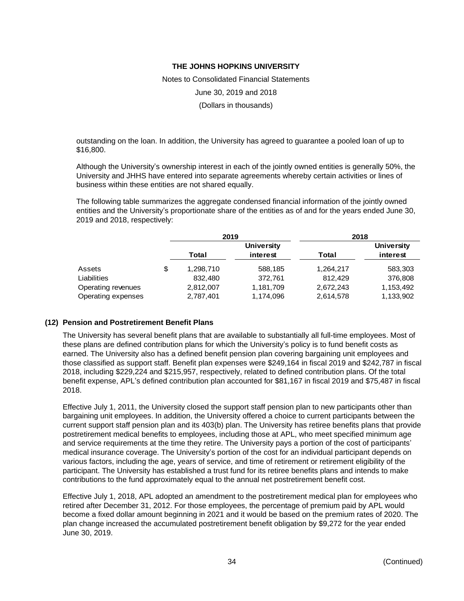Notes to Consolidated Financial Statements June 30, 2019 and 2018 (Dollars in thousands)

outstanding on the loan. In addition, the University has agreed to guarantee a pooled loan of up to \$16,800.

Although the University's ownership interest in each of the jointly owned entities is generally 50%, the University and JHHS have entered into separate agreements whereby certain activities or lines of business within these entities are not shared equally.

The following table summarizes the aggregate condensed financial information of the jointly owned entities and the University's proportionate share of the entities as of and for the years ended June 30, 2019 and 2018, respectively:

|                    | 2019            |                               | 2018      |                               |
|--------------------|-----------------|-------------------------------|-----------|-------------------------------|
|                    | Total           | <b>University</b><br>interest | Total     | <b>University</b><br>interest |
| Assets             | \$<br>1,298,710 | 588,185                       | 1,264,217 | 583,303                       |
| Liabilities        | 832,480         | 372,761                       | 812,429   | 376,808                       |
| Operating revenues | 2,812,007       | 1,181,709                     | 2,672,243 | 1,153,492                     |
| Operating expenses | 2,787,401       | 1,174,096                     | 2,614,578 | 1,133,902                     |

## **(12) Pension and Postretirement Benefit Plans**

The University has several benefit plans that are available to substantially all full-time employees. Most of these plans are defined contribution plans for which the University's policy is to fund benefit costs as earned. The University also has a defined benefit pension plan covering bargaining unit employees and those classified as support staff. Benefit plan expenses were \$249,164 in fiscal 2019 and \$242,787 in fiscal 2018, including \$229,224 and \$215,957, respectively, related to defined contribution plans. Of the total benefit expense, APL's defined contribution plan accounted for \$81,167 in fiscal 2019 and \$75,487 in fiscal 2018.

Effective July 1, 2011, the University closed the support staff pension plan to new participants other than bargaining unit employees. In addition, the University offered a choice to current participants between the current support staff pension plan and its 403(b) plan. The University has retiree benefits plans that provide postretirement medical benefits to employees, including those at APL, who meet specified minimum age and service requirements at the time they retire. The University pays a portion of the cost of participants' medical insurance coverage. The University's portion of the cost for an individual participant depends on various factors, including the age, years of service, and time of retirement or retirement eligibility of the participant. The University has established a trust fund for its retiree benefits plans and intends to make contributions to the fund approximately equal to the annual net postretirement benefit cost.

Effective July 1, 2018, APL adopted an amendment to the postretirement medical plan for employees who retired after December 31, 2012. For those employees, the percentage of premium paid by APL would become a fixed dollar amount beginning in 2021 and it would be based on the premium rates of 2020. The plan change increased the accumulated postretirement benefit obligation by \$9,272 for the year ended June 30, 2019.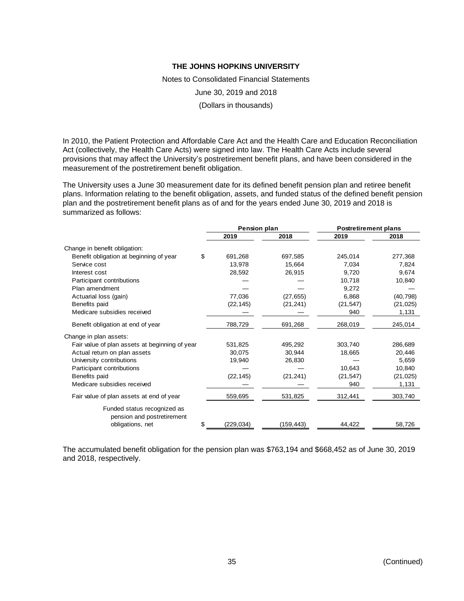Notes to Consolidated Financial Statements June 30, 2019 and 2018 (Dollars in thousands)

In 2010, the Patient Protection and Affordable Care Act and the Health Care and Education Reconciliation Act (collectively, the Health Care Acts) were signed into law. The Health Care Acts include several provisions that may affect the University's postretirement benefit plans, and have been considered in the measurement of the postretirement benefit obligation.

The University uses a June 30 measurement date for its defined benefit pension plan and retiree benefit plans. Information relating to the benefit obligation, assets, and funded status of the defined benefit pension plan and the postretirement benefit plans as of and for the years ended June 30, 2019 and 2018 is summarized as follows:

|                                                           | Pension plan  |            | <b>Postretirement plans</b> |           |
|-----------------------------------------------------------|---------------|------------|-----------------------------|-----------|
|                                                           | 2019          | 2018       | 2019                        | 2018      |
| Change in benefit obligation:                             |               |            |                             |           |
| Benefit obligation at beginning of year                   | \$<br>691,268 | 697,585    | 245,014                     | 277,368   |
| Service cost                                              | 13,978        | 15,664     | 7,034                       | 7,824     |
| Interest cost                                             | 28,592        | 26,915     | 9,720                       | 9,674     |
| Participant contributions                                 |               |            | 10,718                      | 10,840    |
| Plan amendment                                            |               |            | 9,272                       |           |
| Actuarial loss (gain)                                     | 77,036        | (27, 655)  | 6,868                       | (40, 798) |
| Benefits paid                                             | (22, 145)     | (21, 241)  | (21, 547)                   | (21, 025) |
| Medicare subsidies received                               |               |            | 940                         | 1,131     |
| Benefit obligation at end of year                         | 788,729       | 691,268    | 268,019                     | 245,014   |
| Change in plan assets:                                    |               |            |                             |           |
| Fair value of plan assets at beginning of year            | 531,825       | 495,292    | 303,740                     | 286,689   |
| Actual return on plan assets                              | 30.075        | 30.944     | 18,665                      | 20,446    |
| University contributions                                  | 19,940        | 26,830     |                             | 5,659     |
| Participant contributions                                 |               |            | 10,643                      | 10,840    |
| Benefits paid                                             | (22, 145)     | (21, 241)  | (21, 547)                   | (21, 025) |
| Medicare subsidies received                               |               |            | 940                         | 1,131     |
| Fair value of plan assets at end of year                  | 559,695       | 531,825    | 312,441                     | 303,740   |
| Funded status recognized as<br>pension and postretirement |               |            |                             |           |
| obligations, net                                          | (229, 034)    | (159, 443) | 44,422                      | 58,726    |

The accumulated benefit obligation for the pension plan was \$763,194 and \$668,452 as of June 30, 2019 and 2018, respectively.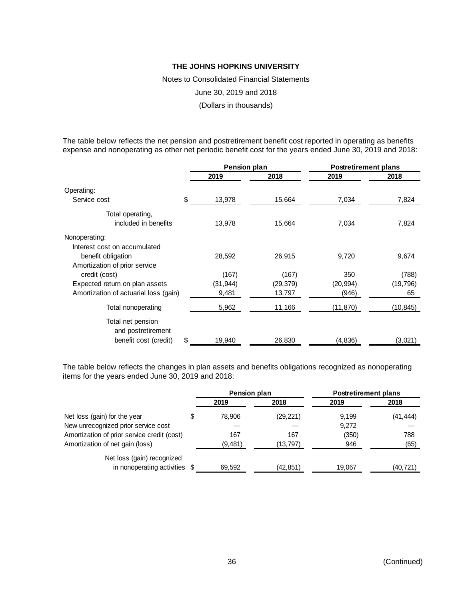Notes to Consolidated Financial Statements

June 30, 2019 and 2018

(Dollars in thousands)

The table below reflects the net pension and postretirement benefit cost reported in operating as benefits expense and nonoperating as other net periodic benefit cost for the years ended June 30, 2019 and 2018:

|                                       |    | Pension plan |           | <b>Postretirement plans</b> |           |  |
|---------------------------------------|----|--------------|-----------|-----------------------------|-----------|--|
|                                       |    | 2019         | 2018      | 2019                        | 2018      |  |
| Operating:                            |    |              |           |                             |           |  |
| Service cost                          | \$ | 13,978       | 15,664    | 7,034                       | 7,824     |  |
| Total operating,                      |    |              |           |                             |           |  |
| included in benefits                  |    | 13,978       | 15,664    | 7,034                       | 7,824     |  |
| Nonoperating:                         |    |              |           |                             |           |  |
| Interest cost on accumulated          |    |              |           |                             |           |  |
| benefit obligation                    |    | 28,592       | 26,915    | 9,720                       | 9,674     |  |
| Amortization of prior service         |    |              |           |                             |           |  |
| credit (cost)                         |    | (167)        | (167)     | 350                         | (788)     |  |
| Expected return on plan assets        |    | (31, 944)    | (29, 379) | (20, 994)                   | (19, 796) |  |
| Amortization of actuarial loss (gain) |    | 9,481        | 13,797    | (946)                       | 65        |  |
| Total nonoperating                    |    | 5,962        | 11,166    | (11, 870)                   | (10,845)  |  |
| Total net pension                     |    |              |           |                             |           |  |
| and postretirement                    |    |              |           |                             |           |  |
| benefit cost (credit)                 | \$ | 19,940       | 26,830    | (4,836)                     | (3,021)   |  |

The table below reflects the changes in plan assets and benefits obligations recognized as nonoperating items for the years ended June 30, 2019 and 2018:

|                                             | Pension plan |           | <b>Postretirement plans</b> |           |
|---------------------------------------------|--------------|-----------|-----------------------------|-----------|
|                                             | 2019         | 2018      | 2019                        | 2018      |
| Net loss (gain) for the year                | 78.906       | (29, 221) | 9,199                       | (41, 444) |
| New unrecognized prior service cost         |              |           | 9,272                       |           |
| Amortization of prior service credit (cost) | 167          | 167       | (350)                       | 788       |
| Amortization of net gain (loss)             | (9, 481)     | (13, 797) | 946                         | (65)      |
| Net loss (gain) recognized                  |              |           |                             |           |
| in nonoperating activities \$               | 69,592       | (42, 851) | 19.067                      | (40, 721) |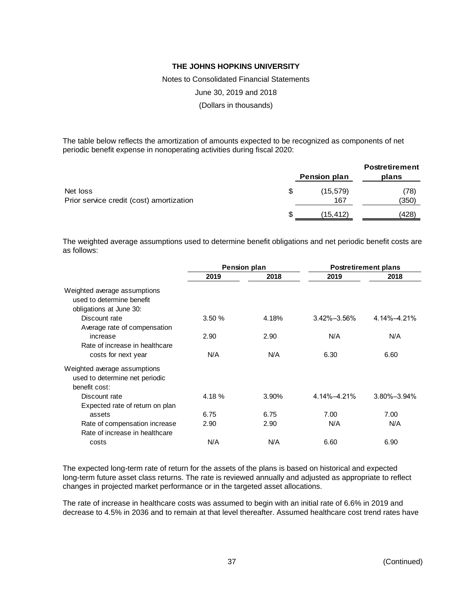Notes to Consolidated Financial Statements June 30, 2019 and 2018

(Dollars in thousands)

The table below reflects the amortization of amounts expected to be recognized as components of net periodic benefit expense in nonoperating activities during fiscal 2020:

|                                                      |    | <b>Pension plan</b> | <b>Postretirement</b><br>plans |
|------------------------------------------------------|----|---------------------|--------------------------------|
| Net loss<br>Prior service credit (cost) amortization | \$ | (15, 579)<br>167    | (78)<br>(350)                  |
|                                                      | S  | (15, 412)           | (428)                          |

The weighted average assumptions used to determine benefit obligations and net periodic benefit costs are as follows:

|                                                                                 |              | Pension plan | <b>Postretirement plans</b> |                   |  |  |
|---------------------------------------------------------------------------------|--------------|--------------|-----------------------------|-------------------|--|--|
|                                                                                 | 2019<br>2018 |              | 2019                        | 2018              |  |  |
| Weighted average assumptions<br>used to determine benefit                       |              |              |                             |                   |  |  |
| obligations at June 30:                                                         |              |              |                             |                   |  |  |
| Discount rate<br>Average rate of compensation                                   | 3.50%        | 4.18%        | $3.42\% - 3.56\%$           | 4.14%-4.21%       |  |  |
| increase                                                                        | 2.90         | 2.90         | N/A                         | N/A               |  |  |
| Rate of increase in healthcare                                                  |              |              |                             |                   |  |  |
| costs for next year                                                             | N/A          | N/A          | 6.30                        | 6.60              |  |  |
| Weighted average assumptions<br>used to determine net periodic<br>benefit cost: |              |              |                             |                   |  |  |
| Discount rate<br>Expected rate of return on plan                                | 4.18%        | 3.90%        | 4.14%-4.21%                 | $3.80\% - 3.94\%$ |  |  |
| assets                                                                          | 6.75         | 6.75         | 7.00                        | 7.00              |  |  |
| Rate of compensation increase<br>Rate of increase in healthcare                 | 2.90         | 2.90         | N/A                         | N/A               |  |  |
| costs                                                                           | N/A          | N/A          | 6.60                        | 6.90              |  |  |

The expected long-term rate of return for the assets of the plans is based on historical and expected long-term future asset class returns. The rate is reviewed annually and adjusted as appropriate to reflect changes in projected market performance or in the targeted asset allocations.

The rate of increase in healthcare costs was assumed to begin with an initial rate of 6.6% in 2019 and decrease to 4.5% in 2036 and to remain at that level thereafter. Assumed healthcare cost trend rates have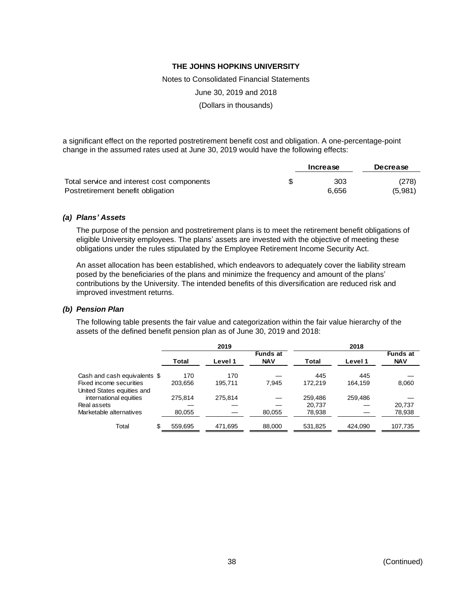Notes to Consolidated Financial Statements

June 30, 2019 and 2018

(Dollars in thousands)

a significant effect on the reported postretirement benefit cost and obligation. A one-percentage-point change in the assumed rates used at June 30, 2019 would have the following effects:

|                                            | Increase | Decrease |  |
|--------------------------------------------|----------|----------|--|
| Total service and interest cost components | 303      | (278)    |  |
| Postretirement benefit obligation          | 6.656    | (5,981)  |  |

### *(a) Plans' Assets*

The purpose of the pension and postretirement plans is to meet the retirement benefit obligations of eligible University employees. The plans' assets are invested with the objective of meeting these obligations under the rules stipulated by the Employee Retirement Income Security Act.

An asset allocation has been established, which endeavors to adequately cover the liability stream posed by the beneficiaries of the plans and minimize the frequency and amount of the plans' contributions by the University. The intended benefits of this diversification are reduced risk and improved investment returns.

## *(b) Pension Plan*

The following table presents the fair value and categorization within the fair value hierarchy of the assets of the defined benefit pension plan as of June 30, 2019 and 2018:

|                                                      |     | 2019         |  |         |  | 2018                          |         |  |         |  |                               |
|------------------------------------------------------|-----|--------------|--|---------|--|-------------------------------|---------|--|---------|--|-------------------------------|
|                                                      |     | <b>Total</b> |  | Level 1 |  | <b>Funds at</b><br><b>NAV</b> | Total   |  | Level 1 |  | <b>Funds at</b><br><b>NAV</b> |
| Cash and cash equivalents \$                         |     | 170          |  | 170     |  |                               | 445     |  | 445     |  |                               |
| Fixed income securities                              |     | 203.656      |  | 195.711 |  | 7.945                         | 172.219 |  | 164.159 |  | 8,060                         |
| United States equities and<br>international equities |     | 275.814      |  | 275.814 |  |                               | 259.486 |  | 259.486 |  |                               |
| Real assets                                          |     |              |  |         |  |                               | 20.737  |  |         |  | 20,737                        |
| Marketable alternatives                              |     | 80,055       |  |         |  | 80,055                        | 78,938  |  |         |  | 78,938                        |
| Total                                                | \$. | 559,695      |  | 471,695 |  | 88,000                        | 531,825 |  | 424,090 |  | 107,735                       |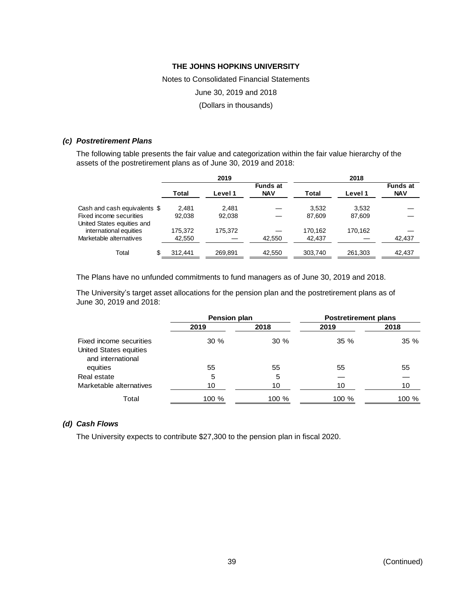## Notes to Consolidated Financial Statements June 30, 2019 and 2018

(Dollars in thousands)

### *(c) Postretirement Plans*

The following table presents the fair value and categorization within the fair value hierarchy of the assets of the postretirement plans as of June 30, 2019 and 2018:

|                              |         | 2019    |                 |         | 2018    |                 |  |  |
|------------------------------|---------|---------|-----------------|---------|---------|-----------------|--|--|
|                              |         |         | <b>Funds at</b> |         |         | <b>Funds at</b> |  |  |
|                              | Total   | Level 1 | <b>NAV</b>      | Total   | Level 1 | <b>NAV</b>      |  |  |
| Cash and cash equivalents \$ | 2.481   | 2.481   |                 | 3.532   | 3,532   |                 |  |  |
| Fixed income securities      | 92.038  | 92.038  |                 | 87.609  | 87.609  |                 |  |  |
| United States equities and   |         |         |                 |         |         |                 |  |  |
| international equities       | 175,372 | 175,372 |                 | 170,162 | 170.162 |                 |  |  |
| Marketable alternatives      | 42,550  |         | 42,550          | 42,437  |         | 42,437          |  |  |
| Total                        | 312.441 | 269.891 | 42.550          | 303.740 | 261,303 | 42.437          |  |  |

The Plans have no unfunded commitments to fund managers as of June 30, 2019 and 2018.

The University's target asset allocations for the pension plan and the postretirement plans as of June 30, 2019 and 2018:

|                                                                        | <b>Pension plan</b> |       | <b>Postretirement plans</b> |       |  |  |
|------------------------------------------------------------------------|---------------------|-------|-----------------------------|-------|--|--|
|                                                                        | 2019                | 2018  | 2019                        | 2018  |  |  |
| Fixed income securities<br>United States equities<br>and international | 30%                 | 30%   | 35 %                        | 35%   |  |  |
| equities                                                               | 55                  | 55    | 55                          | 55    |  |  |
| Real estate                                                            | 5                   | 5     |                             |       |  |  |
| Marketable alternatives                                                | 10                  | 10    | 10                          | 10    |  |  |
| Total                                                                  | 100 %               | 100 % | 100 %                       | 100 % |  |  |

## *(d) Cash Flows*

The University expects to contribute \$27,300 to the pension plan in fiscal 2020.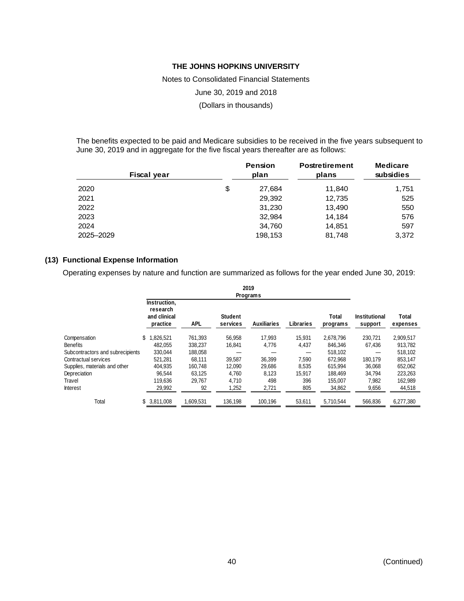Notes to Consolidated Financial Statements

June 30, 2019 and 2018

(Dollars in thousands)

The benefits expected to be paid and Medicare subsidies to be received in the five years subsequent to June 30, 2019 and in aggregate for the five fiscal years thereafter are as follows:

| <b>Fiscal year</b> | <b>Pension</b><br>plan | <b>Postretirement</b><br>plans | <b>Medicare</b><br>subsidies |
|--------------------|------------------------|--------------------------------|------------------------------|
| 2020               | \$<br>27,684           | 11,840                         | 1,751                        |
| 2021               | 29,392                 | 12,735                         | 525                          |
| 2022               | 31,230                 | 13,490                         | 550                          |
| 2023               | 32,984                 | 14.184                         | 576                          |
| 2024               | 34,760                 | 14,851                         | 597                          |
| 2025-2029          | 198,153                | 81,748                         | 3,372                        |

## **(13) Functional Expense Information**

Operating expenses by nature and function are summarized as follows for the year ended June 30, 2019:

| 2019                             |                                                      |            |                     |                                       |           |                   |                          |                   |
|----------------------------------|------------------------------------------------------|------------|---------------------|---------------------------------------|-----------|-------------------|--------------------------|-------------------|
|                                  | Instruction,<br>research<br>and clinical<br>practice | <b>APL</b> | Student<br>services | <b>Programs</b><br><b>Auxiliaries</b> | Libraries | Total<br>programs | Institutional<br>support | Total<br>expenses |
| Compensation                     | .826,521<br>S.                                       | 761,393    | 56,958              | 17,993                                | 15,931    | 2,678,796         | 230,721                  | 2,909,517         |
| <b>Benefits</b>                  | 482.055                                              | 338,237    | 16.841              | 4,776                                 | 4,437     | 846.346           | 67,436                   | 913,782           |
| Subcontractors and subrecipients | 330.044                                              | 188,058    |                     |                                       |           | 518,102           |                          | 518,102           |
| Contractual services             | 521,281                                              | 68,111     | 39,587              | 36,399                                | 7,590     | 672,968           | 180,179                  | 853,147           |
| Supplies, materials and other    | 404,935                                              | 160.748    | 12.090              | 29,686                                | 8,535     | 615.994           | 36,068                   | 652,062           |
| Depreciation                     | 96.544                                               | 63.125     | 4.760               | 8,123                                 | 15.917    | 188.469           | 34.794                   | 223.263           |
| Travel                           | 119.636                                              | 29.767     | 4.710               | 498                                   | 396       | 155.007           | 7.982                    | 162,989           |
| <b>Interest</b>                  | 29,992                                               | 92         | 1,252               | 2,721                                 | 805       | 34,862            | 9,656                    | 44,518            |
| Total                            | \$3,811,008                                          | 1,609,531  | 136,198             | 100,196                               | 53,611    | 5,710,544         | 566,836                  | 6,277,380         |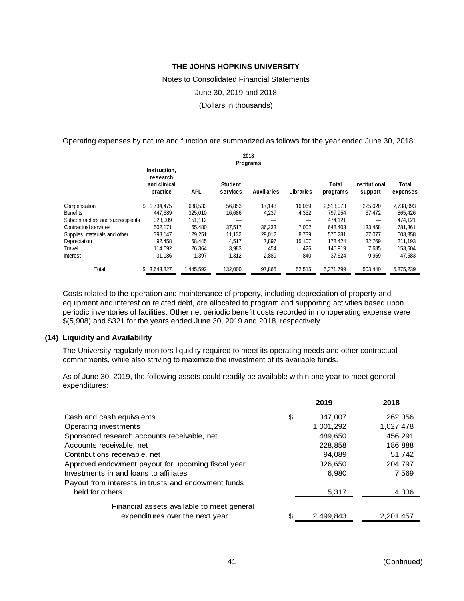Notes to Consolidated Financial Statements

June 30, 2019 and 2018

(Dollars in thousands)

Operating expenses by nature and function are summarized as follows for the year ended June 30, 2018:

| 2018<br><b>Programs</b>          |                                                      |            |                            |                    |           |                   |                          |                   |
|----------------------------------|------------------------------------------------------|------------|----------------------------|--------------------|-----------|-------------------|--------------------------|-------------------|
|                                  | Instruction,<br>research<br>and clinical<br>practice | <b>APL</b> | <b>Student</b><br>services | <b>Auxiliaries</b> | Libraries | Total<br>programs | Institutional<br>support | Total<br>expenses |
| Compensation                     | .734.475<br>\$                                       | 688,533    | 56,853                     | 17,143             | 16,069    | 2,513,073         | 225.020                  | 2,738,093         |
| <b>Benefits</b>                  | 447,689                                              | 325,010    | 16,686                     | 4,237              | 4,332     | 797,954           | 67,472                   | 865,426           |
| Subcontractors and subrecipients | 323,009                                              | 151,112    |                            |                    |           | 474,121           |                          | 474,121           |
| Contractual services             | 502.171                                              | 65.480     | 37,517                     | 36,233             | 7,002     | 648.403           | 133.458                  | 781,861           |
| Supplies, materials and other    | 398,147                                              | 129.251    | 11.132                     | 29.012             | 8.739     | 576.281           | 27.077                   | 603,358           |
| Depreciation                     | 92,458                                               | 58.445     | 4,517                      | 7,897              | 15,107    | 178.424           | 32,769                   | 211,193           |
| Travel                           | 114.692                                              | 26.364     | 3.983                      | 454                | 426       | 145.919           | 7.685                    | 153,604           |
| Interest                         | 31,186                                               | 1,397      | 1,312                      | 2,889              | 840       | 37,624            | 9,959                    | 47,583            |
| Total                            | \$3,643,827                                          | .445.592   | 132,000                    | 97,865             | 52,515    | 5.371.799         | 503,440                  | 5,875,239         |

Costs related to the operation and maintenance of property, including depreciation of property and equipment and interest on related debt, are allocated to program and supporting activities based upon periodic inventories of facilities. Other net periodic benefit costs recorded in nonoperating expense were \$(5,908) and \$321 for the years ended June 30, 2019 and 2018, respectively.

## **(14) Liquidity and Availability**

The University regularly monitors liquidity required to meet its operating needs and other contractual commitments, while also striving to maximize the investment of its available funds.

As of June 30, 2019, the following assets could readily be available within one year to meet general expenditures:

|                                                     | 2019      | 2018      |
|-----------------------------------------------------|-----------|-----------|
| Cash and cash equivalents<br>\$                     | 347,007   | 262,356   |
| Operating investments                               | 1,001,292 | 1,027,478 |
| Sponsored research accounts receivable, net         | 489,650   | 456.291   |
| Accounts receivable, net                            | 228,858   | 186,888   |
| Contributions receivable, net                       | 94.089    | 51,742    |
| Approved endowment payout for upcoming fiscal year  | 326,650   | 204,797   |
| Investments in and loans to affiliates              | 6,980     | 7,569     |
| Payout from interests in trusts and endowment funds |           |           |
| held for others                                     | 5,317     | 4,336     |
| Financial assets available to meet general          |           |           |
| expenditures over the next year<br>S                | 2,499,843 | 2,201,457 |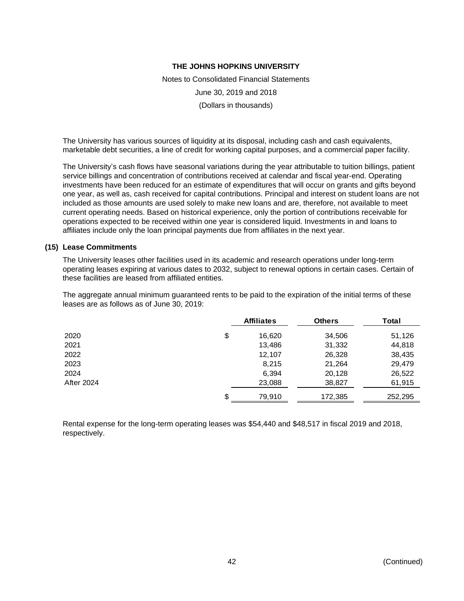Notes to Consolidated Financial Statements June 30, 2019 and 2018 (Dollars in thousands)

The University has various sources of liquidity at its disposal, including cash and cash equivalents, marketable debt securities, a line of credit for working capital purposes, and a commercial paper facility.

The University's cash flows have seasonal variations during the year attributable to tuition billings, patient service billings and concentration of contributions received at calendar and fiscal year-end. Operating investments have been reduced for an estimate of expenditures that will occur on grants and gifts beyond one year, as well as, cash received for capital contributions. Principal and interest on student loans are not included as those amounts are used solely to make new loans and are, therefore, not available to meet current operating needs. Based on historical experience, only the portion of contributions receivable for operations expected to be received within one year is considered liquid. Investments in and loans to affiliates include only the loan principal payments due from affiliates in the next year.

### **(15) Lease Commitments**

The University leases other facilities used in its academic and research operations under long-term operating leases expiring at various dates to 2032, subject to renewal options in certain cases. Certain of these facilities are leased from affiliated entities.

The aggregate annual minimum guaranteed rents to be paid to the expiration of the initial terms of these leases are as follows as of June 30, 2019:

|                   | <b>Affiliates</b> | <b>Others</b> | Total   |  |
|-------------------|-------------------|---------------|---------|--|
| 2020              | \$<br>16,620      | 34,506        | 51,126  |  |
| 2021              | 13,486            | 31,332        | 44,818  |  |
| 2022              | 12,107            | 26,328        | 38,435  |  |
| 2023              | 8,215             | 21,264        | 29,479  |  |
| 2024              | 6,394             | 20,128        | 26,522  |  |
| <b>After 2024</b> | 23,088            | 38,827        | 61,915  |  |
|                   | \$<br>79,910      | 172,385       | 252,295 |  |

Rental expense for the long-term operating leases was \$54,440 and \$48,517 in fiscal 2019 and 2018, respectively.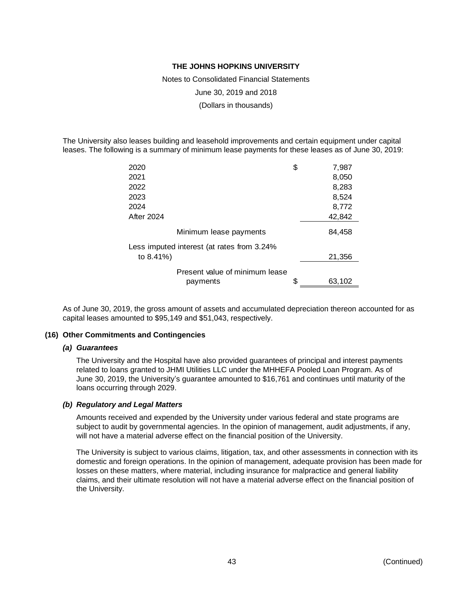Notes to Consolidated Financial Statements

June 30, 2019 and 2018

(Dollars in thousands)

The University also leases building and leasehold improvements and certain equipment under capital leases. The following is a summary of minimum lease payments for these leases as of June 30, 2019:

| 2020                                       | \$<br>7,987  |
|--------------------------------------------|--------------|
| 2021                                       | 8,050        |
| 2022                                       | 8,283        |
| 2023                                       | 8,524        |
| 2024                                       | 8,772        |
| <b>After 2024</b>                          | 42,842       |
| Minimum lease payments                     | 84,458       |
| Less imputed interest (at rates from 3.24% |              |
| to 8.41%)                                  | 21,356       |
| Present value of minimum lease             |              |
| payments                                   | \$<br>63,102 |

As of June 30, 2019, the gross amount of assets and accumulated depreciation thereon accounted for as capital leases amounted to \$95,149 and \$51,043, respectively.

### **(16) Other Commitments and Contingencies**

#### *(a) Guarantees*

The University and the Hospital have also provided guarantees of principal and interest payments related to loans granted to JHMI Utilities LLC under the MHHEFA Pooled Loan Program. As of June 30, 2019, the University's guarantee amounted to \$16,761 and continues until maturity of the loans occurring through 2029.

### *(b) Regulatory and Legal Matters*

Amounts received and expended by the University under various federal and state programs are subject to audit by governmental agencies. In the opinion of management, audit adjustments, if any, will not have a material adverse effect on the financial position of the University.

The University is subject to various claims, litigation, tax, and other assessments in connection with its domestic and foreign operations. In the opinion of management, adequate provision has been made for losses on these matters, where material, including insurance for malpractice and general liability claims, and their ultimate resolution will not have a material adverse effect on the financial position of the University.